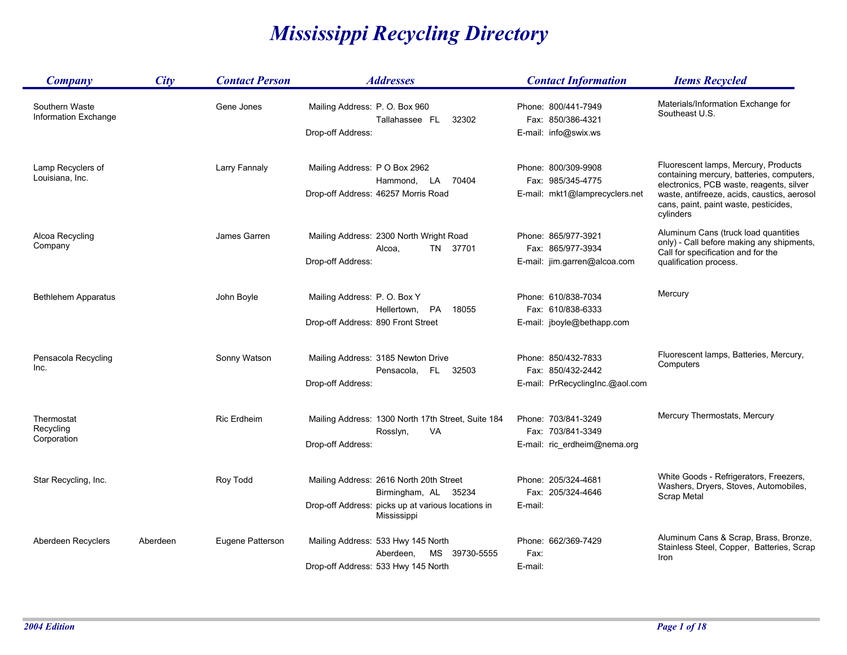## *Mississippi Recycling Directory*

| <b>Company</b>                         | City     | <b>Contact Person</b> | <b>Addresses</b>                                                                                                                     | <b>Contact Information</b>                                                  | <b>Items Recycled</b>                                                                                                                                                                                                              |
|----------------------------------------|----------|-----------------------|--------------------------------------------------------------------------------------------------------------------------------------|-----------------------------------------------------------------------------|------------------------------------------------------------------------------------------------------------------------------------------------------------------------------------------------------------------------------------|
| Southern Waste<br>Information Exchange |          | Gene Jones            | Mailing Address: P.O. Box 960<br>Tallahassee FL<br>32302<br>Drop-off Address:                                                        | Phone: 800/441-7949<br>Fax: 850/386-4321<br>E-mail: info@swix.ws            | Materials/Information Exchange for<br>Southeast U.S.                                                                                                                                                                               |
| Lamp Recyclers of<br>Louisiana, Inc.   |          | Larry Fannaly         | Mailing Address: P O Box 2962<br>Hammond,<br>LA<br>70404<br>Drop-off Address: 46257 Morris Road                                      | Phone: 800/309-9908<br>Fax: 985/345-4775<br>E-mail: mkt1@lamprecyclers.net  | Fluorescent lamps, Mercury, Products<br>containing mercury, batteries, computers,<br>electronics, PCB waste, reagents, silver<br>waste, antifreeze, acids, caustics, aerosol<br>cans, paint, paint waste, pesticides,<br>cylinders |
| Alcoa Recycling<br>Company             |          | James Garren          | Mailing Address: 2300 North Wright Road<br>TN 37701<br>Alcoa,<br>Drop-off Address:                                                   | Phone: 865/977-3921<br>Fax: 865/977-3934<br>E-mail: jim.garren@alcoa.com    | Aluminum Cans (truck load quantities<br>only) - Call before making any shipments,<br>Call for specification and for the<br>qualification process.                                                                                  |
| <b>Bethlehem Apparatus</b>             |          | John Boyle            | Mailing Address: P.O. Box Y<br>Hellertown, PA<br>18055<br>Drop-off Address: 890 Front Street                                         | Phone: 610/838-7034<br>Fax: 610/838-6333<br>E-mail: jboyle@bethapp.com      | Mercury                                                                                                                                                                                                                            |
| Pensacola Recycling<br>Inc.            |          | Sonny Watson          | Mailing Address: 3185 Newton Drive<br>32503<br>Pensacola, FL<br>Drop-off Address:                                                    | Phone: 850/432-7833<br>Fax: 850/432-2442<br>E-mail: PrRecyclingInc.@aol.com | Fluorescent lamps, Batteries, Mercury,<br>Computers                                                                                                                                                                                |
| Thermostat<br>Recycling<br>Corporation |          | <b>Ric Erdheim</b>    | Mailing Address: 1300 North 17th Street, Suite 184<br>Rosslyn,<br>VA<br>Drop-off Address:                                            | Phone: 703/841-3249<br>Fax: 703/841-3349<br>E-mail: ric_erdheim@nema.org    | Mercury Thermostats, Mercury                                                                                                                                                                                                       |
| Star Recycling, Inc.                   |          | Roy Todd              | Mailing Address: 2616 North 20th Street<br>Birmingham, AL 35234<br>Drop-off Address: picks up at various locations in<br>Mississippi | Phone: 205/324-4681<br>Fax: 205/324-4646<br>E-mail:                         | White Goods - Refrigerators, Freezers,<br>Washers, Dryers, Stoves, Automobiles,<br>Scrap Metal                                                                                                                                     |
| Aberdeen Recyclers                     | Aberdeen | Eugene Patterson      | Mailing Address: 533 Hwy 145 North<br>MS 39730-5555<br>Aberdeen,<br>Drop-off Address: 533 Hwy 145 North                              | Phone: 662/369-7429<br>Fax:<br>E-mail:                                      | Aluminum Cans & Scrap, Brass, Bronze,<br>Stainless Steel, Copper, Batteries, Scrap<br>Iron                                                                                                                                         |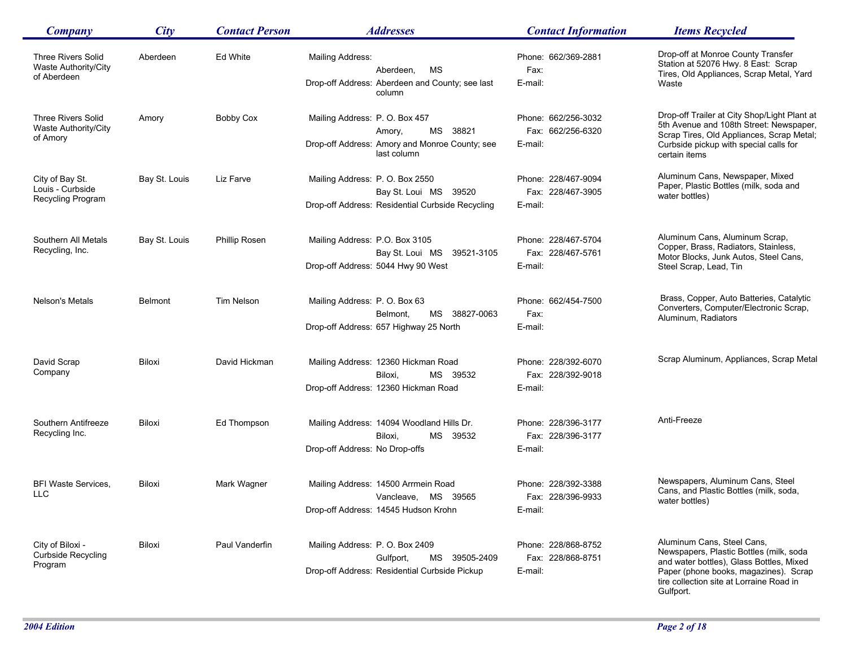| <b>Company</b>                                                   | City           | <b>Contact Person</b> | <b>Addresses</b>                                                                                                        | <b>Contact Information</b>                          | <b>Items Recycled</b>                                                                                                                                                                                               |
|------------------------------------------------------------------|----------------|-----------------------|-------------------------------------------------------------------------------------------------------------------------|-----------------------------------------------------|---------------------------------------------------------------------------------------------------------------------------------------------------------------------------------------------------------------------|
| <b>Three Rivers Solid</b><br>Waste Authority/City<br>of Aberdeen | Aberdeen       | Ed White              | Mailing Address:<br>МS<br>Aberdeen,<br>Drop-off Address: Aberdeen and County; see last<br>column                        | Phone: 662/369-2881<br>Fax:<br>E-mail:              | Drop-off at Monroe County Transfer<br>Station at 52076 Hwy. 8 East: Scrap<br>Tires, Old Appliances, Scrap Metal, Yard<br>Waste                                                                                      |
| <b>Three Rivers Solid</b><br>Waste Authority/City<br>of Amory    | Amory          | Bobby Cox             | Mailing Address: P.O. Box 457<br>MS<br>38821<br>Amory,<br>Drop-off Address: Amory and Monroe County; see<br>last column | Phone: 662/256-3032<br>Fax: 662/256-6320<br>E-mail: | Drop-off Trailer at City Shop/Light Plant at<br>5th Avenue and 108th Street: Newspaper,<br>Scrap Tires, Old Appliances, Scrap Metal;<br>Curbside pickup with special calls for<br>certain items                     |
| City of Bay St.<br>Louis - Curbside<br>Recycling Program         | Bay St. Louis  | Liz Farve             | Mailing Address: P.O. Box 2550<br>Bay St. Loui MS 39520<br>Drop-off Address: Residential Curbside Recycling             | Phone: 228/467-9094<br>Fax: 228/467-3905<br>E-mail: | Aluminum Cans, Newspaper, Mixed<br>Paper, Plastic Bottles (milk, soda and<br>water bottles)                                                                                                                         |
| Southern All Metals<br>Recycling, Inc.                           | Bay St. Louis  | Phillip Rosen         | Mailing Address: P.O. Box 3105<br>Bay St. Loui MS 39521-3105<br>Drop-off Address: 5044 Hwy 90 West                      | Phone: 228/467-5704<br>Fax: 228/467-5761<br>E-mail: | Aluminum Cans, Aluminum Scrap,<br>Copper, Brass, Radiators, Stainless,<br>Motor Blocks, Junk Autos, Steel Cans,<br>Steel Scrap, Lead, Tin                                                                           |
| Nelson's Metals                                                  | <b>Belmont</b> | <b>Tim Nelson</b>     | Mailing Address: P.O. Box 63<br>MS 38827-0063<br>Belmont,<br>Drop-off Address: 657 Highway 25 North                     | Phone: 662/454-7500<br>Fax:<br>E-mail:              | Brass, Copper, Auto Batteries, Catalytic<br>Converters, Computer/Electronic Scrap,<br>Aluminum, Radiators                                                                                                           |
| David Scrap<br>Company                                           | Biloxi         | David Hickman         | Mailing Address: 12360 Hickman Road<br>Biloxi,<br>MS 39532<br>Drop-off Address: 12360 Hickman Road                      | Phone: 228/392-6070<br>Fax: 228/392-9018<br>E-mail: | Scrap Aluminum, Appliances, Scrap Metal                                                                                                                                                                             |
| Southern Antifreeze<br>Recycling Inc.                            | Biloxi         | Ed Thompson           | Mailing Address: 14094 Woodland Hills Dr.<br>MS 39532<br>Biloxi,<br>Drop-off Address: No Drop-offs                      | Phone: 228/396-3177<br>Fax: 228/396-3177<br>E-mail: | Anti-Freeze                                                                                                                                                                                                         |
| <b>BFI Waste Services,</b><br><b>LLC</b>                         | Biloxi         | Mark Wagner           | Mailing Address: 14500 Arrmein Road<br>Vancleave, MS 39565<br>Drop-off Address: 14545 Hudson Krohn                      | Phone: 228/392-3388<br>Fax: 228/396-9933<br>E-mail: | Newspapers, Aluminum Cans, Steel<br>Cans, and Plastic Bottles (milk, soda,<br>water bottles)                                                                                                                        |
| City of Biloxi -<br><b>Curbside Recycling</b><br>Program         | Biloxi         | Paul Vanderfin        | Mailing Address: P.O. Box 2409<br>MS 39505-2409<br>Gulfport,<br>Drop-off Address: Residential Curbside Pickup           | Phone: 228/868-8752<br>Fax: 228/868-8751<br>E-mail: | Aluminum Cans, Steel Cans,<br>Newspapers, Plastic Bottles (milk, soda<br>and water bottles), Glass Bottles, Mixed<br>Paper (phone books, magazines). Scrap<br>tire collection site at Lorraine Road in<br>Gulfport. |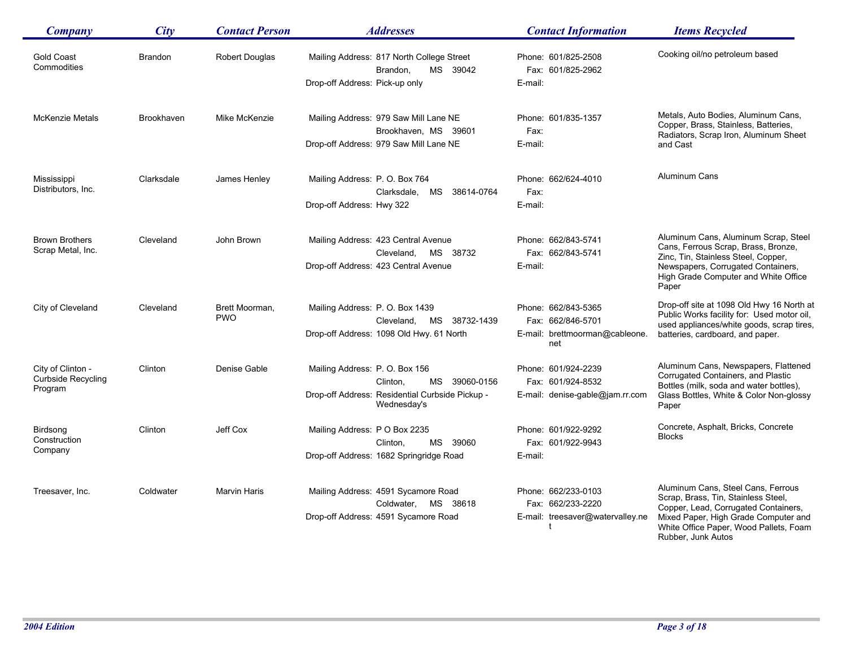| <b>Company</b>                          | City       | <b>Contact Person</b>        | <b>Addresses</b>                                                                | <b>Contact Information</b>                            | <b>Items Recycled</b>                                                                   |
|-----------------------------------------|------------|------------------------------|---------------------------------------------------------------------------------|-------------------------------------------------------|-----------------------------------------------------------------------------------------|
| <b>Gold Coast</b><br>Commodities        | Brandon    | <b>Robert Douglas</b>        | Mailing Address: 817 North College Street<br>MS 39042<br>Brandon,               | Phone: 601/825-2508<br>Fax: 601/825-2962              | Cooking oil/no petroleum based                                                          |
|                                         |            |                              | Drop-off Address: Pick-up only                                                  | E-mail:                                               |                                                                                         |
| <b>McKenzie Metals</b>                  | Brookhaven | Mike McKenzie                | Mailing Address: 979 Saw Mill Lane NE                                           | Phone: 601/835-1357                                   | Metals, Auto Bodies, Aluminum Cans,<br>Copper, Brass, Stainless, Batteries,             |
|                                         |            |                              | Brookhaven, MS 39601<br>Drop-off Address: 979 Saw Mill Lane NE                  | Fax:<br>E-mail:                                       | Radiators, Scrap Iron, Aluminum Sheet<br>and Cast                                       |
| Mississippi                             | Clarksdale | James Henley                 | Mailing Address: P. O. Box 764                                                  | Phone: 662/624-4010                                   | <b>Aluminum Cans</b>                                                                    |
| Distributors, Inc.                      |            |                              | Clarksdale,<br>MS<br>38614-0764                                                 | Fax:                                                  |                                                                                         |
|                                         |            |                              | Drop-off Address: Hwy 322                                                       | E-mail:                                               |                                                                                         |
| <b>Brown Brothers</b>                   | Cleveland  | John Brown                   | Mailing Address: 423 Central Avenue                                             | Phone: 662/843-5741                                   | Aluminum Cans, Aluminum Scrap, Steel<br>Cans, Ferrous Scrap, Brass, Bronze,             |
| Scrap Metal, Inc.                       |            |                              | MS 38732<br>Cleveland,<br>Drop-off Address: 423 Central Avenue                  | Fax: 662/843-5741<br>E-mail:                          | Zinc, Tin, Stainless Steel, Copper,<br>Newspapers, Corrugated Containers,               |
|                                         |            |                              |                                                                                 |                                                       | High Grade Computer and White Office<br>Paper                                           |
| City of Cleveland                       | Cleveland  | Brett Moorman,<br><b>PWO</b> | Mailing Address: P.O. Box 1439                                                  | Phone: 662/843-5365                                   | Drop-off site at 1098 Old Hwy 16 North at<br>Public Works facility for: Used motor oil, |
|                                         |            |                              | MS 38732-1439<br>Cleveland,<br>Drop-off Address: 1098 Old Hwy. 61 North         | Fax: 662/846-5701<br>E-mail: brettmoorman@cableone.   | used appliances/white goods, scrap tires,<br>batteries, cardboard, and paper.           |
|                                         |            |                              |                                                                                 | net                                                   |                                                                                         |
| City of Clinton -<br>Curbside Recycling | Clinton    | Denise Gable                 | Mailing Address: P.O. Box 156                                                   | Phone: 601/924-2239                                   | Aluminum Cans, Newspapers, Flattened<br>Corrugated Containers, and Plastic              |
| Program                                 |            |                              | Clinton,<br>MS<br>39060-0156<br>Drop-off Address: Residential Curbside Pickup - | Fax: 601/924-8532<br>E-mail: denise-gable@jam.rr.com  | Bottles (milk, soda and water bottles),<br>Glass Bottles, White & Color Non-glossy      |
|                                         |            |                              | Wednesday's                                                                     |                                                       | Paper                                                                                   |
| Birdsong<br>Construction                | Clinton    | Jeff Cox                     | Mailing Address: P O Box 2235                                                   | Phone: 601/922-9292                                   | Concrete, Asphalt, Bricks, Concrete<br><b>Blocks</b>                                    |
| Company                                 |            |                              | MS 39060<br>Clinton,<br>Drop-off Address: 1682 Springridge Road                 | Fax: 601/922-9943<br>E-mail:                          |                                                                                         |
|                                         |            |                              |                                                                                 |                                                       |                                                                                         |
| Treesaver, Inc.                         | Coldwater  | Marvin Haris                 | Mailing Address: 4591 Sycamore Road                                             | Phone: 662/233-0103                                   | Aluminum Cans, Steel Cans, Ferrous<br>Scrap, Brass, Tin, Stainless Steel,               |
|                                         |            |                              | Coldwater, MS 38618<br>Drop-off Address: 4591 Sycamore Road                     | Fax: 662/233-2220<br>E-mail: treesaver@watervalley.ne | Copper, Lead, Corrugated Containers,<br>Mixed Paper, High Grade Computer and            |
|                                         |            |                              |                                                                                 |                                                       | White Office Paper, Wood Pallets, Foam<br>Rubber, Junk Autos                            |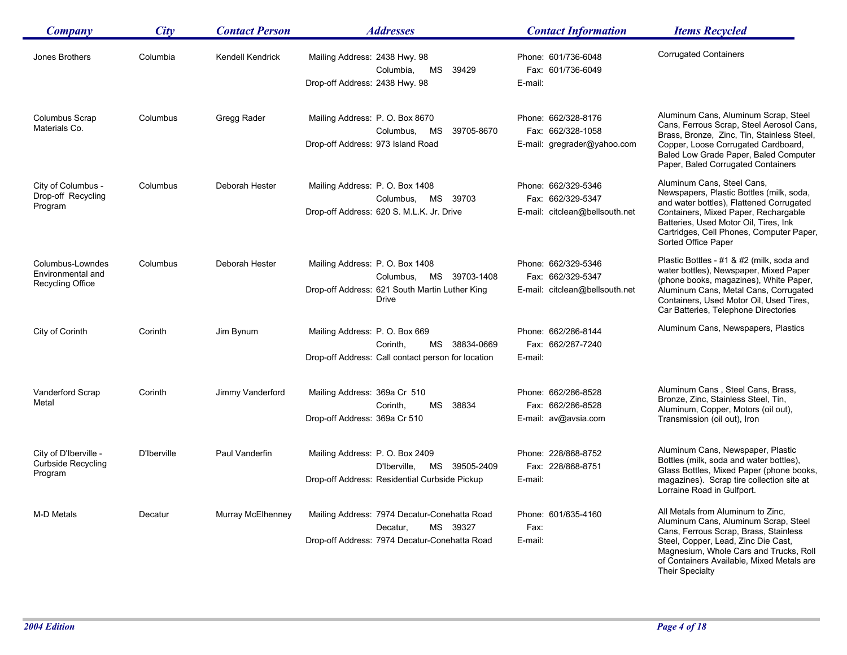| <b>Company</b>                                                   | City        | <b>Contact Person</b> | <i><b>Addresses</b></i>                                                                                                      | <b>Contact Information</b>                                                 | <b>Items Recycled</b>                                                                                                                                                                                                                                                  |
|------------------------------------------------------------------|-------------|-----------------------|------------------------------------------------------------------------------------------------------------------------------|----------------------------------------------------------------------------|------------------------------------------------------------------------------------------------------------------------------------------------------------------------------------------------------------------------------------------------------------------------|
| Jones Brothers                                                   | Columbia    | Kendell Kendrick      | Mailing Address: 2438 Hwy. 98<br>Columbia,<br>MS 39429<br>Drop-off Address: 2438 Hwy. 98                                     | Phone: 601/736-6048<br>Fax: 601/736-6049<br>E-mail:                        | <b>Corrugated Containers</b>                                                                                                                                                                                                                                           |
| <b>Columbus Scrap</b><br>Materials Co.                           | Columbus    | Gregg Rader           | Mailing Address: P. O. Box 8670<br>39705-8670<br>Columbus,<br>MS<br>Drop-off Address: 973 Island Road                        | Phone: 662/328-8176<br>Fax: 662/328-1058<br>E-mail: gregrader@yahoo.com    | Aluminum Cans, Aluminum Scrap, Steel<br>Cans, Ferrous Scrap, Steel Aerosol Cans,<br>Brass, Bronze, Zinc, Tin, Stainless Steel,<br>Copper, Loose Corrugated Cardboard,<br>Baled Low Grade Paper, Baled Computer<br>Paper, Baled Corrugated Containers                   |
| City of Columbus -<br>Drop-off Recycling<br>Program              | Columbus    | Deborah Hester        | Mailing Address: P.O. Box 1408<br>Columbus,<br>MS<br>39703<br>Drop-off Address: 620 S. M.L.K. Jr. Drive                      | Phone: 662/329-5346<br>Fax: 662/329-5347<br>E-mail: citclean@bellsouth.net | Aluminum Cans, Steel Cans,<br>Newspapers, Plastic Bottles (milk, soda,<br>and water bottles), Flattened Corrugated<br>Containers, Mixed Paper, Rechargable<br>Batteries, Used Motor Oil, Tires, Ink<br>Cartridges, Cell Phones, Computer Paper,<br>Sorted Office Paper |
| Columbus-Lowndes<br>Environmental and<br><b>Recycling Office</b> | Columbus    | Deborah Hester        | Mailing Address: P. O. Box 1408<br>Columbus, MS 39703-1408<br>Drop-off Address: 621 South Martin Luther King<br><b>Drive</b> | Phone: 662/329-5346<br>Fax: 662/329-5347<br>E-mail: citclean@bellsouth.net | Plastic Bottles - #1 & #2 (milk, soda and<br>water bottles), Newspaper, Mixed Paper<br>(phone books, magazines), White Paper,<br>Aluminum Cans, Metal Cans, Corrugated<br>Containers, Used Motor Oil, Used Tires,<br>Car Batteries, Telephone Directories              |
| City of Corinth                                                  | Corinth     | Jim Bynum             | Mailing Address: P. O. Box 669<br>Corinth,<br>MS 38834-0669<br>Drop-off Address: Call contact person for location            | Phone: 662/286-8144<br>Fax: 662/287-7240<br>E-mail:                        | Aluminum Cans, Newspapers, Plastics                                                                                                                                                                                                                                    |
| Vanderford Scrap<br>Metal                                        | Corinth     | Jimmy Vanderford      | Mailing Address: 369a Cr 510<br>38834<br>Corinth,<br>MS<br>Drop-off Address: 369a Cr 510                                     | Phone: 662/286-8528<br>Fax: 662/286-8528<br>E-mail: av@avsia.com           | Aluminum Cans, Steel Cans, Brass,<br>Bronze, Zinc, Stainless Steel, Tin,<br>Aluminum, Copper, Motors (oil out),<br>Transmission (oil out), Iron                                                                                                                        |
| City of D'Iberville -<br><b>Curbside Recycling</b><br>Program    | D'Iberville | Paul Vanderfin        | Mailing Address: P.O. Box 2409<br>D'Iberville,<br>MS 39505-2409<br>Drop-off Address: Residential Curbside Pickup             | Phone: 228/868-8752<br>Fax: 228/868-8751<br>E-mail:                        | Aluminum Cans, Newspaper, Plastic<br>Bottles (milk, soda and water bottles),<br>Glass Bottles, Mixed Paper (phone books,<br>magazines). Scrap tire collection site at<br>Lorraine Road in Gulfport.                                                                    |
| M-D Metals                                                       | Decatur     | Murray McElhenney     | Mailing Address: 7974 Decatur-Conehatta Road<br>Decatur,<br>MS 39327<br>Drop-off Address: 7974 Decatur-Conehatta Road        | Phone: 601/635-4160<br>Fax:<br>E-mail:                                     | All Metals from Aluminum to Zinc,<br>Aluminum Cans, Aluminum Scrap, Steel<br>Cans, Ferrous Scrap, Brass, Stainless<br>Steel, Copper, Lead, Zinc Die Cast,<br>Magnesium, Whole Cars and Trucks, Roll<br>of Containers Available, Mixed Metals are                       |

Their Specialty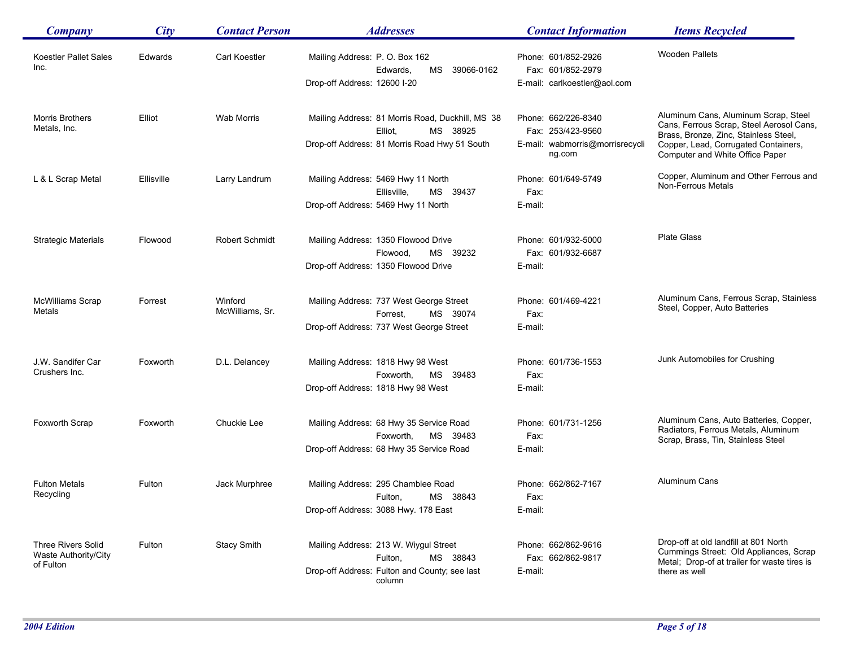| <b>Company</b>                                                 | City       | <b>Contact Person</b>      | <b>Addresses</b>                                                                                                         | <b>Contact Information</b>                                                            | <b>Items Recycled</b>                                                                                                                                                                                |
|----------------------------------------------------------------|------------|----------------------------|--------------------------------------------------------------------------------------------------------------------------|---------------------------------------------------------------------------------------|------------------------------------------------------------------------------------------------------------------------------------------------------------------------------------------------------|
| Koestler Pallet Sales<br>Inc.                                  | Edwards    | <b>Carl Koestler</b>       | Mailing Address: P. O. Box 162<br>Edwards,<br>MS<br>39066-0162<br>Drop-off Address: 12600 I-20                           | Phone: 601/852-2926<br>Fax: 601/852-2979<br>E-mail: carlkoestler@aol.com              | <b>Wooden Pallets</b>                                                                                                                                                                                |
| Morris Brothers<br>Metals, Inc.                                | Elliot     | Wab Morris                 | Mailing Address: 81 Morris Road, Duckhill, MS 38<br>Elliot,<br>MS 38925<br>Drop-off Address: 81 Morris Road Hwy 51 South | Phone: 662/226-8340<br>Fax: 253/423-9560<br>E-mail: wabmorris@morrisrecycli<br>ng.com | Aluminum Cans, Aluminum Scrap, Steel<br>Cans, Ferrous Scrap, Steel Aerosol Cans,<br>Brass, Bronze, Zinc, Stainless Steel,<br>Copper, Lead, Corrugated Containers,<br>Computer and White Office Paper |
| L & L Scrap Metal                                              | Ellisville | Larry Landrum              | Mailing Address: 5469 Hwy 11 North<br>Ellisville.<br>MS 39437<br>Drop-off Address: 5469 Hwy 11 North                     | Phone: 601/649-5749<br>Fax:<br>E-mail:                                                | Copper, Aluminum and Other Ferrous and<br>Non-Ferrous Metals                                                                                                                                         |
| <b>Strategic Materials</b>                                     | Flowood    | Robert Schmidt             | Mailing Address: 1350 Flowood Drive<br>MS<br>Flowood,<br>39232<br>Drop-off Address: 1350 Flowood Drive                   | Phone: 601/932-5000<br>Fax: 601/932-6687<br>E-mail:                                   | <b>Plate Glass</b>                                                                                                                                                                                   |
| <b>McWilliams Scrap</b><br>Metals                              | Forrest    | Winford<br>McWilliams, Sr. | Mailing Address: 737 West George Street<br>Forrest.<br>MS 39074<br>Drop-off Address: 737 West George Street              | Phone: 601/469-4221<br>Fax:<br>E-mail:                                                | Aluminum Cans, Ferrous Scrap, Stainless<br>Steel, Copper, Auto Batteries                                                                                                                             |
| J.W. Sandifer Car<br>Crushers Inc.                             | Foxworth   | D.L. Delancey              | Mailing Address: 1818 Hwy 98 West<br>Foxworth,<br>MS 39483<br>Drop-off Address: 1818 Hwy 98 West                         | Phone: 601/736-1553<br>Fax:<br>E-mail:                                                | Junk Automobiles for Crushing                                                                                                                                                                        |
| Foxworth Scrap                                                 | Foxworth   | Chuckie Lee                | Mailing Address: 68 Hwy 35 Service Road<br>MS 39483<br>Foxworth,<br>Drop-off Address: 68 Hwy 35 Service Road             | Phone: 601/731-1256<br>Fax:<br>E-mail:                                                | Aluminum Cans, Auto Batteries, Copper,<br>Radiators, Ferrous Metals, Aluminum<br>Scrap, Brass, Tin, Stainless Steel                                                                                  |
| <b>Fulton Metals</b><br>Recycling                              | Fulton     | Jack Murphree              | Mailing Address: 295 Chamblee Road<br>MS 38843<br>Fulton,<br>Drop-off Address: 3088 Hwy. 178 East                        | Phone: 662/862-7167<br>Fax:<br>E-mail:                                                | Aluminum Cans                                                                                                                                                                                        |
| <b>Three Rivers Solid</b><br>Waste Authority/City<br>of Fulton | Fulton     | <b>Stacy Smith</b>         | Mailing Address: 213 W. Wiygul Street<br>MS 38843<br>Fulton,<br>Drop-off Address: Fulton and County; see last<br>column  | Phone: 662/862-9616<br>Fax: 662/862-9817<br>E-mail:                                   | Drop-off at old landfill at 801 North<br>Cummings Street: Old Appliances, Scrap<br>Metal; Drop-of at trailer for waste tires is<br>there as well                                                     |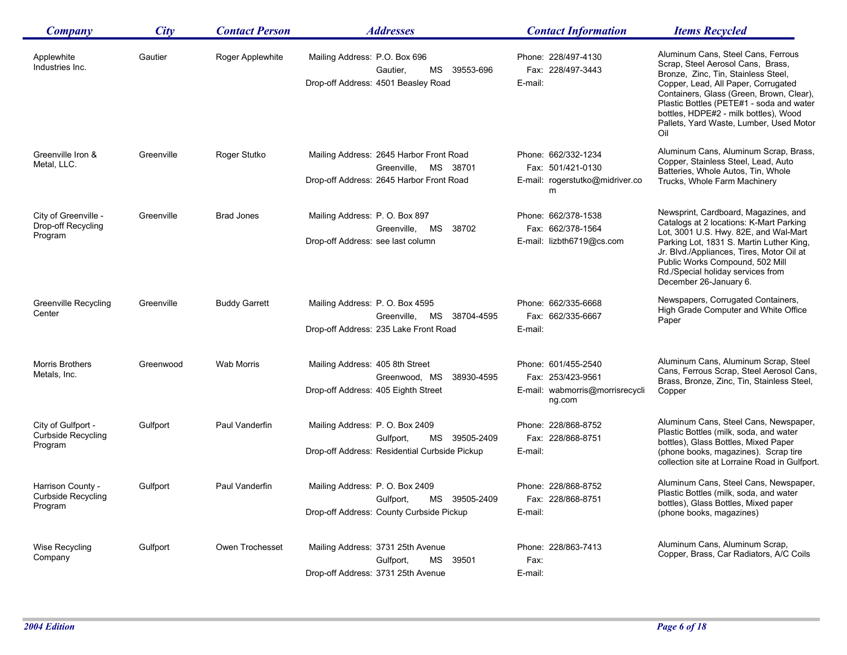| Company                                                    | City       | <b>Contact Person</b> | <i><b>Addresses</b></i>                                                                                        | <b>Contact Information</b>                                                            | <b>Items Recycled</b>                                                                                                                                                                                                                                                                                                                    |
|------------------------------------------------------------|------------|-----------------------|----------------------------------------------------------------------------------------------------------------|---------------------------------------------------------------------------------------|------------------------------------------------------------------------------------------------------------------------------------------------------------------------------------------------------------------------------------------------------------------------------------------------------------------------------------------|
| Applewhite<br>Industries Inc.                              | Gautier    | Roger Applewhite      | Mailing Address: P.O. Box 696<br>Gautier,<br>MS 39553-696<br>Drop-off Address: 4501 Beasley Road               | Phone: 228/497-4130<br>Fax: 228/497-3443<br>E-mail:                                   | Aluminum Cans, Steel Cans, Ferrous<br>Scrap, Steel Aerosol Cans, Brass,<br>Bronze, Zinc, Tin, Stainless Steel,<br>Copper, Lead, All Paper, Corrugated<br>Containers, Glass (Green, Brown, Clear),<br>Plastic Bottles (PETE#1 - soda and water<br>bottles, HDPE#2 - milk bottles), Wood<br>Pallets, Yard Waste, Lumber, Used Motor<br>Oil |
| Greenville Iron &<br>Metal, LLC.                           | Greenville | Roger Stutko          | Mailing Address: 2645 Harbor Front Road<br>MS 38701<br>Greenville,<br>Drop-off Address: 2645 Harbor Front Road | Phone: 662/332-1234<br>Fax: 501/421-0130<br>E-mail: rogerstutko@midriver.co<br>m      | Aluminum Cans, Aluminum Scrap, Brass,<br>Copper, Stainless Steel, Lead, Auto<br>Batteries, Whole Autos, Tin, Whole<br>Trucks, Whole Farm Machinery                                                                                                                                                                                       |
| City of Greenville -<br>Drop-off Recycling<br>Program      | Greenville | <b>Brad Jones</b>     | Mailing Address: P. O. Box 897<br>Greenville. MS<br>38702<br>Drop-off Address: see last column                 | Phone: 662/378-1538<br>Fax: 662/378-1564<br>E-mail: lizbth6719@cs.com                 | Newsprint, Cardboard, Magazines, and<br>Catalogs at 2 locations: K-Mart Parking<br>Lot, 3001 U.S. Hwy. 82E, and Wal-Mart<br>Parking Lot, 1831 S. Martin Luther King,<br>Jr. Blvd./Appliances, Tires, Motor Oil at<br>Public Works Compound, 502 Mill<br>Rd./Special holiday services from<br>December 26-January 6.                      |
| Greenville Recycling<br>Center                             | Greenville | <b>Buddy Garrett</b>  | Mailing Address: P. O. Box 4595<br>Greenville, MS 38704-4595<br>Drop-off Address: 235 Lake Front Road          | Phone: 662/335-6668<br>Fax: 662/335-6667<br>E-mail:                                   | Newspapers, Corrugated Containers,<br>High Grade Computer and White Office<br>Paper                                                                                                                                                                                                                                                      |
| <b>Morris Brothers</b><br>Metals, Inc.                     | Greenwood  | <b>Wab Morris</b>     | Mailing Address: 405 8th Street<br>Greenwood, MS 38930-4595<br>Drop-off Address: 405 Eighth Street             | Phone: 601/455-2540<br>Fax: 253/423-9561<br>E-mail: wabmorris@morrisrecycli<br>ng.com | Aluminum Cans, Aluminum Scrap, Steel<br>Cans, Ferrous Scrap, Steel Aerosol Cans,<br>Brass, Bronze, Zinc, Tin, Stainless Steel,<br>Copper                                                                                                                                                                                                 |
| City of Gulfport -<br><b>Curbside Recycling</b><br>Program | Gulfport   | Paul Vanderfin        | Mailing Address: P.O. Box 2409<br>Gulfport,<br>MS 39505-2409<br>Drop-off Address: Residential Curbside Pickup  | Phone: 228/868-8752<br>Fax: 228/868-8751<br>E-mail:                                   | Aluminum Cans, Steel Cans, Newspaper,<br>Plastic Bottles (milk, soda, and water<br>bottles), Glass Bottles, Mixed Paper<br>(phone books, magazines). Scrap tire<br>collection site at Lorraine Road in Gulfport.                                                                                                                         |
| Harrison County -<br><b>Curbside Recycling</b><br>Program  | Gulfport   | Paul Vanderfin        | Mailing Address: P.O. Box 2409<br>MS 39505-2409<br>Gulfport,<br>Drop-off Address: County Curbside Pickup       | Phone: 228/868-8752<br>Fax: 228/868-8751<br>E-mail:                                   | Aluminum Cans, Steel Cans, Newspaper,<br>Plastic Bottles (milk, soda, and water<br>bottles), Glass Bottles, Mixed paper<br>(phone books, magazines)                                                                                                                                                                                      |
| Wise Recycling<br>Company                                  | Gulfport   | Owen Trochesset       | Mailing Address: 3731 25th Avenue<br>MS 39501<br>Gulfport,<br>Drop-off Address: 3731 25th Avenue               | Phone: 228/863-7413<br>Fax:<br>E-mail:                                                | Aluminum Cans, Aluminum Scrap,<br>Copper, Brass, Car Radiators, A/C Coils                                                                                                                                                                                                                                                                |

Ē,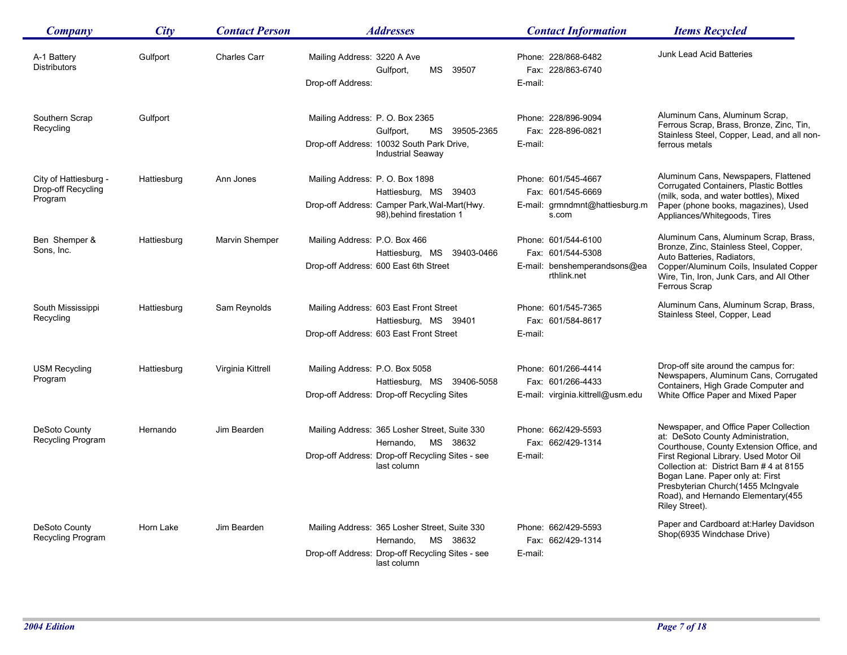| <b>Company</b>                                         | City        | <b>Contact Person</b> | <b>Addresses</b>                                                                                                                          | <b>Contact Information</b>                                                              | <b>Items Recycled</b>                                                                                                                                                                                                                                                                                                                           |
|--------------------------------------------------------|-------------|-----------------------|-------------------------------------------------------------------------------------------------------------------------------------------|-----------------------------------------------------------------------------------------|-------------------------------------------------------------------------------------------------------------------------------------------------------------------------------------------------------------------------------------------------------------------------------------------------------------------------------------------------|
| A-1 Battery<br><b>Distributors</b>                     | Gulfport    | <b>Charles Carr</b>   | Mailing Address: 3220 A Ave<br>Gulfport,<br>MS 39507<br>Drop-off Address:                                                                 | Phone: 228/868-6482<br>Fax: 228/863-6740<br>E-mail:                                     | Junk Lead Acid Batteries                                                                                                                                                                                                                                                                                                                        |
| Southern Scrap<br>Recycling                            | Gulfport    |                       | Mailing Address: P. O. Box 2365<br>MS 39505-2365<br>Gulfport,<br>Drop-off Address: 10032 South Park Drive,<br><b>Industrial Seaway</b>    | Phone: 228/896-9094<br>Fax: 228-896-0821<br>E-mail:                                     | Aluminum Cans, Aluminum Scrap,<br>Ferrous Scrap, Brass, Bronze, Zinc, Tin,<br>Stainless Steel, Copper, Lead, and all non-<br>ferrous metals                                                                                                                                                                                                     |
| City of Hattiesburg -<br>Drop-off Recycling<br>Program | Hattiesburg | Ann Jones             | Mailing Address: P. O. Box 1898<br>Hattiesburg, MS 39403<br>Drop-off Address: Camper Park, Wal-Mart(Hwy.<br>98).behind firestation 1      | Phone: 601/545-4667<br>Fax: 601/545-6669<br>E-mail: grmndmnt@hattiesburg.m<br>s.com     | Aluminum Cans, Newspapers, Flattened<br>Corrugated Containers, Plastic Bottles<br>(milk, soda, and water bottles), Mixed<br>Paper (phone books, magazines), Used<br>Appliances/Whitegoods, Tires                                                                                                                                                |
| Ben Shemper &<br>Sons, Inc.                            | Hattiesburg | Marvin Shemper        | Mailing Address: P.O. Box 466<br>Hattiesburg, MS 39403-0466<br>Drop-off Address: 600 East 6th Street                                      | Phone: 601/544-6100<br>Fax: 601/544-5308<br>E-mail: benshemperandsons@ea<br>rthlink.net | Aluminum Cans, Aluminum Scrap, Brass,<br>Bronze, Zinc, Stainless Steel, Copper,<br>Auto Batteries, Radiators,<br>Copper/Aluminum Coils, Insulated Copper<br>Wire, Tin, Iron, Junk Cars, and All Other<br>Ferrous Scrap                                                                                                                          |
| South Mississippi<br>Recycling                         | Hattiesburg | Sam Reynolds          | Mailing Address: 603 East Front Street<br>Hattiesburg, MS 39401<br>Drop-off Address: 603 East Front Street                                | Phone: 601/545-7365<br>Fax: 601/584-8617<br>E-mail:                                     | Aluminum Cans, Aluminum Scrap, Brass,<br>Stainless Steel, Copper, Lead                                                                                                                                                                                                                                                                          |
| <b>USM Recycling</b><br>Program                        | Hattiesburg | Virginia Kittrell     | Mailing Address: P.O. Box 5058<br>Hattiesburg, MS 39406-5058<br>Drop-off Address: Drop-off Recycling Sites                                | Phone: 601/266-4414<br>Fax: 601/266-4433<br>E-mail: virginia.kittrell@usm.edu           | Drop-off site around the campus for:<br>Newspapers, Aluminum Cans, Corrugated<br>Containers, High Grade Computer and<br>White Office Paper and Mixed Paper                                                                                                                                                                                      |
| DeSoto County<br>Recycling Program                     | Hernando    | Jim Bearden           | Mailing Address: 365 Losher Street, Suite 330<br>Hernando,<br>MS 38632<br>Drop-off Address: Drop-off Recycling Sites - see<br>last column | Phone: 662/429-5593<br>Fax: 662/429-1314<br>E-mail:                                     | Newspaper, and Office Paper Collection<br>at: DeSoto County Administration,<br>Courthouse, County Extension Office, and<br>First Regional Library. Used Motor Oil<br>Collection at: District Barn # 4 at 8155<br>Bogan Lane. Paper only at: First<br>Presbyterian Church(1455 McIngvale<br>Road), and Hernando Elementary(455<br>Riley Street). |
| DeSoto County<br>Recycling Program                     | Horn Lake   | Jim Bearden           | Mailing Address: 365 Losher Street, Suite 330<br>MS 38632<br>Hernando.<br>Drop-off Address: Drop-off Recycling Sites - see<br>last column | Phone: 662/429-5593<br>Fax: 662/429-1314<br>E-mail:                                     | Paper and Cardboard at: Harley Davidson<br>Shop(6935 Windchase Drive)                                                                                                                                                                                                                                                                           |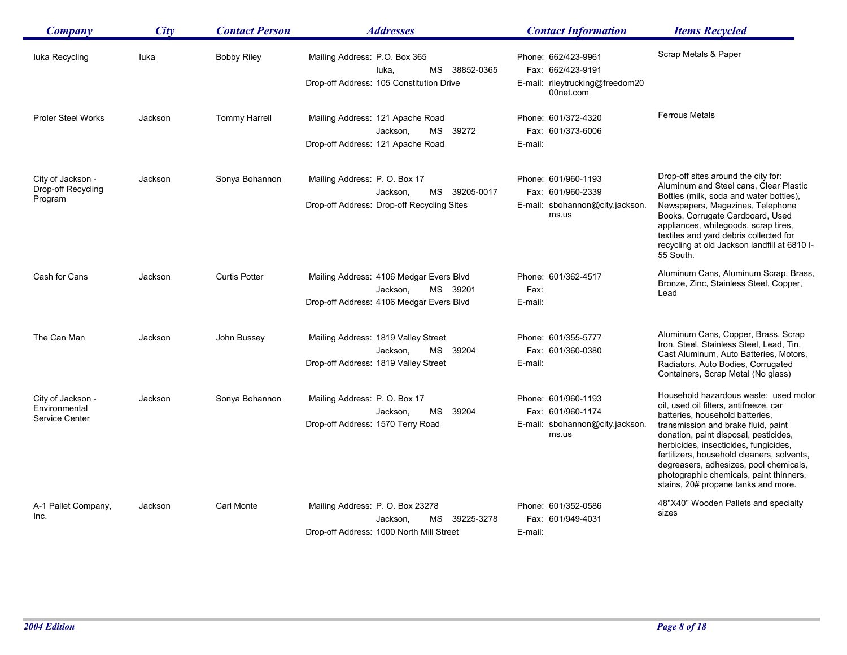| Company                                              | City    | <b>Contact Person</b> | <b>Addresses</b>                                                                                               | <b>Contact Information</b>                                                               | <b>Items Recycled</b>                                                                                                                                                                                                                                                                                                                                                                                                 |
|------------------------------------------------------|---------|-----------------------|----------------------------------------------------------------------------------------------------------------|------------------------------------------------------------------------------------------|-----------------------------------------------------------------------------------------------------------------------------------------------------------------------------------------------------------------------------------------------------------------------------------------------------------------------------------------------------------------------------------------------------------------------|
| luka Recycling                                       | luka    | <b>Bobby Riley</b>    | Mailing Address: P.O. Box 365<br>MS 38852-0365<br>luka.<br>Drop-off Address: 105 Constitution Drive            | Phone: 662/423-9961<br>Fax: 662/423-9191<br>E-mail: rileytrucking@freedom20<br>00net.com | Scrap Metals & Paper                                                                                                                                                                                                                                                                                                                                                                                                  |
| <b>Proler Steel Works</b>                            | Jackson | <b>Tommy Harrell</b>  | Mailing Address: 121 Apache Road<br>МS<br>39272<br>Jackson,<br>Drop-off Address: 121 Apache Road               | Phone: 601/372-4320<br>Fax: 601/373-6006<br>E-mail:                                      | <b>Ferrous Metals</b>                                                                                                                                                                                                                                                                                                                                                                                                 |
| City of Jackson -<br>Drop-off Recycling<br>Program   | Jackson | Sonya Bohannon        | Mailing Address: P.O. Box 17<br>39205-0017<br>Jackson,<br>MS<br>Drop-off Address: Drop-off Recycling Sites     | Phone: 601/960-1193<br>Fax: 601/960-2339<br>E-mail: sbohannon@city.jackson.<br>ms.us     | Drop-off sites around the city for:<br>Aluminum and Steel cans, Clear Plastic<br>Bottles (milk, soda and water bottles),<br>Newspapers, Magazines, Telephone<br>Books, Corrugate Cardboard, Used<br>appliances, whitegoods, scrap tires,<br>textiles and yard debris collected for<br>recycling at old Jackson landfill at 6810 I-<br>55 South.                                                                       |
| Cash for Cans                                        | Jackson | <b>Curtis Potter</b>  | Mailing Address: 4106 Medgar Evers Blvd<br>MS<br>39201<br>Jackson,<br>Drop-off Address: 4106 Medgar Evers Blvd | Phone: 601/362-4517<br>Fax:<br>E-mail:                                                   | Aluminum Cans, Aluminum Scrap, Brass,<br>Bronze, Zinc, Stainless Steel, Copper,<br>Lead                                                                                                                                                                                                                                                                                                                               |
| The Can Man                                          | Jackson | John Bussey           | Mailing Address: 1819 Valley Street<br>Jackson,<br>MS<br>39204<br>Drop-off Address: 1819 Valley Street         | Phone: 601/355-5777<br>Fax: 601/360-0380<br>E-mail:                                      | Aluminum Cans, Copper, Brass, Scrap<br>Iron, Steel, Stainless Steel, Lead, Tin,<br>Cast Aluminum, Auto Batteries, Motors,<br>Radiators, Auto Bodies, Corrugated<br>Containers, Scrap Metal (No glass)                                                                                                                                                                                                                 |
| City of Jackson -<br>Environmental<br>Service Center | Jackson | Sonya Bohannon        | Mailing Address: P. O. Box 17<br>39204<br>МS<br>Jackson,<br>Drop-off Address: 1570 Terry Road                  | Phone: 601/960-1193<br>Fax: 601/960-1174<br>E-mail: sbohannon@city.jackson.<br>ms.us     | Household hazardous waste: used motor<br>oil, used oil filters, antifreeze, car<br>batteries, household batteries,<br>transmission and brake fluid, paint<br>donation, paint disposal, pesticides,<br>herbicides, insecticides, fungicides,<br>fertilizers, household cleaners, solvents,<br>degreasers, adhesizes, pool chemicals,<br>photographic chemicals, paint thinners,<br>stains, 20# propane tanks and more. |
| A-1 Pallet Company,<br>Inc.                          | Jackson | Carl Monte            | Mailing Address: P.O. Box 23278<br>MS 39225-3278<br>Jackson,<br>Drop-off Address: 1000 North Mill Street       | Phone: 601/352-0586<br>Fax: 601/949-4031<br>E-mail:                                      | 48"X40" Wooden Pallets and specialty<br>sizes                                                                                                                                                                                                                                                                                                                                                                         |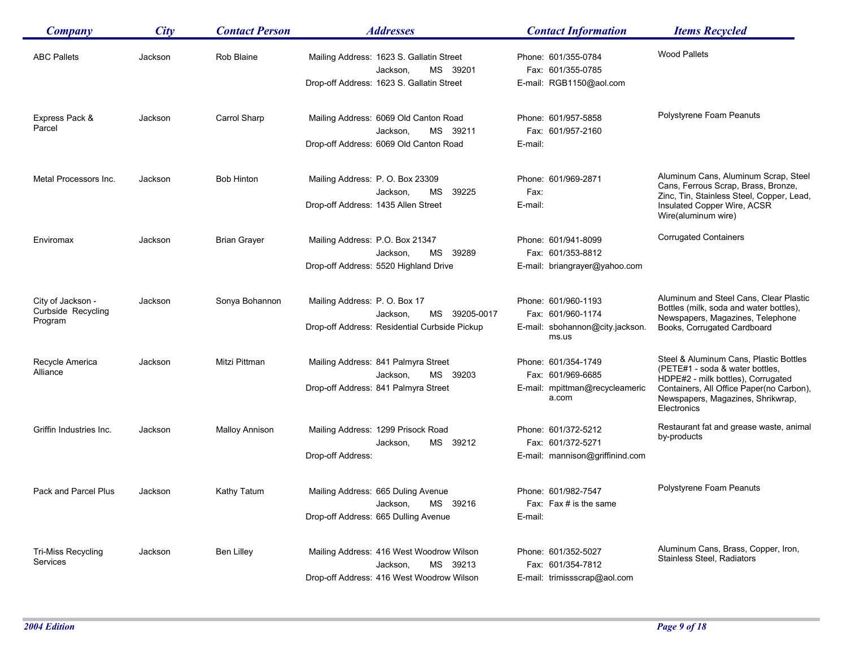| <b>Company</b>            | <b>City</b> | <b>Contact Person</b> | <b>Addresses</b>                                                 | <b>Contact Information</b>               | <b>Items Recycled</b>                                                                           |
|---------------------------|-------------|-----------------------|------------------------------------------------------------------|------------------------------------------|-------------------------------------------------------------------------------------------------|
| <b>ABC Pallets</b>        | Jackson     | Rob Blaine            | Mailing Address: 1623 S. Gallatin Street<br>MS 39201<br>Jackson, | Phone: 601/355-0784<br>Fax: 601/355-0785 | <b>Wood Pallets</b>                                                                             |
|                           |             |                       | Drop-off Address: 1623 S. Gallatin Street                        | E-mail: RGB1150@aol.com                  |                                                                                                 |
| Express Pack &            | Jackson     | Carrol Sharp          | Mailing Address: 6069 Old Canton Road                            | Phone: 601/957-5858                      | Polystyrene Foam Peanuts                                                                        |
| Parcel                    |             |                       | MS 39211<br>Jackson,                                             | Fax: 601/957-2160                        |                                                                                                 |
|                           |             |                       | Drop-off Address: 6069 Old Canton Road                           | E-mail:                                  |                                                                                                 |
| Metal Processors Inc.     | Jackson     | <b>Bob Hinton</b>     | Mailing Address: P. O. Box 23309                                 | Phone: 601/969-2871                      | Aluminum Cans, Aluminum Scrap, Steel                                                            |
|                           |             |                       | Jackson,<br>MS.<br>39225                                         | Fax:                                     | Cans, Ferrous Scrap, Brass, Bronze,                                                             |
|                           |             |                       | Drop-off Address: 1435 Allen Street                              | E-mail:                                  | Zinc, Tin, Stainless Steel, Copper, Lead,<br>Insulated Copper Wire, ACSR<br>Wire(aluminum wire) |
| Enviromax                 | Jackson     | <b>Brian Graver</b>   | Mailing Address: P.O. Box 21347                                  | Phone: 601/941-8099                      | <b>Corrugated Containers</b>                                                                    |
|                           |             |                       | Jackson,<br>MS 39289                                             | Fax: 601/353-8812                        |                                                                                                 |
|                           |             |                       | Drop-off Address: 5520 Highland Drive                            | E-mail: briangrayer@yahoo.com            |                                                                                                 |
| City of Jackson -         | Jackson     | Sonya Bohannon        | Mailing Address: P.O. Box 17                                     | Phone: 601/960-1193                      | Aluminum and Steel Cans, Clear Plastic                                                          |
| Curbside Recycling        |             |                       | MS 39205-0017<br>Jackson,                                        | Fax: 601/960-1174                        | Bottles (milk, soda and water bottles),<br>Newspapers, Magazines, Telephone                     |
| Program                   |             |                       | Drop-off Address: Residential Curbside Pickup                    | E-mail: sbohannon@city.jackson.<br>ms.us | Books, Corrugated Cardboard                                                                     |
| Recycle America           | Jackson     | Mitzi Pittman         | Mailing Address: 841 Palmyra Street                              | Phone: 601/354-1749                      | Steel & Aluminum Cans, Plastic Bottles<br>(PETE#1 - soda & water bottles,                       |
| Alliance                  |             |                       | MS 39203<br>Jackson,                                             | Fax: 601/969-6685                        | HDPE#2 - milk bottles), Corrugated                                                              |
|                           |             |                       | Drop-off Address: 841 Palmyra Street                             | E-mail: mpittman@recycleameric<br>a.com  | Containers, All Office Paper(no Carbon),<br>Newspapers, Magazines, Shrikwrap,<br>Electronics    |
| Griffin Industries Inc.   | Jackson     | <b>Malloy Annison</b> | Mailing Address: 1299 Prisock Road                               | Phone: 601/372-5212                      | Restaurant fat and grease waste, animal<br>by-products                                          |
|                           |             |                       | Jackson,<br>MS 39212                                             | Fax: 601/372-5271                        |                                                                                                 |
|                           |             |                       | Drop-off Address:                                                | E-mail: mannison@griffinind.com          |                                                                                                 |
| Pack and Parcel Plus      | Jackson     | Kathy Tatum           | Mailing Address: 665 Duling Avenue                               | Phone: 601/982-7547                      | Polystyrene Foam Peanuts                                                                        |
|                           |             |                       | Jackson, MS 39216                                                | Fax: Fax # is the same                   |                                                                                                 |
|                           |             |                       | Drop-off Address: 665 Dulling Avenue                             | E-mail:                                  |                                                                                                 |
| <b>Tri-Miss Recycling</b> | Jackson     | Ben Lilley            | Mailing Address: 416 West Woodrow Wilson                         | Phone: 601/352-5027                      | Aluminum Cans, Brass, Copper, Iron,                                                             |
| Services                  |             |                       | Jackson,<br>MS 39213                                             | Fax: 601/354-7812                        | Stainless Steel, Radiators                                                                      |
|                           |             |                       | Drop-off Address: 416 West Woodrow Wilson                        | E-mail: trimissscrap@aol.com             |                                                                                                 |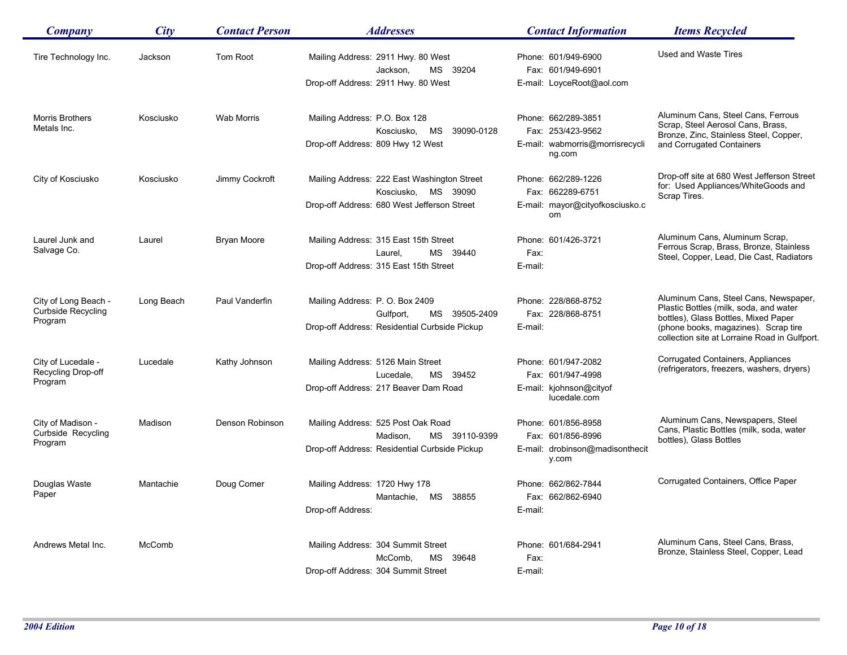| <b>Company</b>                                               | City       | <b>Contact Person</b> | <i><b>Addresses</b></i>                                                                                                 | <b>Contact Information</b>                                                            | <b>Items Recycled</b>                                                                                                                                                                                            |
|--------------------------------------------------------------|------------|-----------------------|-------------------------------------------------------------------------------------------------------------------------|---------------------------------------------------------------------------------------|------------------------------------------------------------------------------------------------------------------------------------------------------------------------------------------------------------------|
| Tire Technology Inc.                                         | Jackson    | <b>Tom Root</b>       | Mailing Address: 2911 Hwy. 80 West<br>MS 39204<br>Jackson,<br>Drop-off Address: 2911 Hwy. 80 West                       | Phone: 601/949-6900<br>Fax: 601/949-6901<br>E-mail: LoyceRoot@aol.com                 | Used and Waste Tires                                                                                                                                                                                             |
| Morris Brothers<br>Metals Inc.                               | Kosciusko  | Wab Morris            | Mailing Address: P.O. Box 128<br>Kosciusko,<br>MS<br>39090-0128<br>Drop-off Address: 809 Hwy 12 West                    | Phone: 662/289-3851<br>Fax: 253/423-9562<br>E-mail: wabmorris@morrisrecycli<br>ng.com | Aluminum Cans, Steel Cans, Ferrous<br>Scrap, Steel Aerosol Cans, Brass,<br>Bronze, Zinc, Stainless Steel, Copper,<br>and Corrugated Containers                                                                   |
| City of Kosciusko                                            | Kosciusko  | Jimmy Cockroft        | Mailing Address: 222 East Washington Street<br>MS<br>Kosciusko,<br>39090<br>Drop-off Address: 680 West Jefferson Street | Phone: 662/289-1226<br>Fax: 662289-6751<br>E-mail: mayor@cityofkosciusko.c<br>om      | Drop-off site at 680 West Jefferson Street<br>for: Used Appliances/WhiteGoods and<br>Scrap Tires.                                                                                                                |
| Laurel Junk and<br>Salvage Co.                               | Laurel     | Bryan Moore           | Mailing Address: 315 East 15th Street<br>MS 39440<br>Laurel,<br>Drop-off Address: 315 East 15th Street                  | Phone: 601/426-3721<br>Fax:<br>E-mail:                                                | Aluminum Cans, Aluminum Scrap,<br>Ferrous Scrap, Brass, Bronze, Stainless<br>Steel, Copper, Lead, Die Cast, Radiators                                                                                            |
| City of Long Beach -<br><b>Curbside Recycling</b><br>Program | Long Beach | Paul Vanderfin        | Mailing Address: P. O. Box 2409<br>Gulfport,<br>MS 39505-2409<br>Drop-off Address: Residential Curbside Pickup          | Phone: 228/868-8752<br>Fax: 228/868-8751<br>E-mail:                                   | Aluminum Cans, Steel Cans, Newspaper,<br>Plastic Bottles (milk, soda, and water<br>bottles), Glass Bottles, Mixed Paper<br>(phone books, magazines). Scrap tire<br>collection site at Lorraine Road in Gulfport. |
| City of Lucedale -<br>Recycling Drop-off<br>Program          | Lucedale   | Kathy Johnson         | Mailing Address: 5126 Main Street<br>Lucedale,<br>MS 39452<br>Drop-off Address: 217 Beaver Dam Road                     | Phone: 601/947-2082<br>Fax: 601/947-4998<br>E-mail: kjohnson@cityof<br>lucedale.com   | Corrugated Containers, Appliances<br>(refrigerators, freezers, washers, dryers)                                                                                                                                  |
| City of Madison -<br>Curbside Recycling<br>Program           | Madison    | Denson Robinson       | Mailing Address: 525 Post Oak Road<br>Madison,<br>MS 39110-9399<br>Drop-off Address: Residential Curbside Pickup        | Phone: 601/856-8958<br>Fax: 601/856-8996<br>E-mail: drobinson@madisonthecit<br>y.com  | Aluminum Cans, Newspapers, Steel<br>Cans, Plastic Bottles (milk, soda, water<br>bottles), Glass Bottles                                                                                                          |
| Douglas Waste<br>Paper                                       | Mantachie  | Doug Comer            | Mailing Address: 1720 Hwy 178<br>MS<br>38855<br>Mantachie,<br>Drop-off Address:                                         | Phone: 662/862-7844<br>Fax: 662/862-6940<br>E-mail:                                   | Corrugated Containers, Office Paper                                                                                                                                                                              |
| Andrews Metal Inc.                                           | McComb     |                       | Mailing Address: 304 Summit Street<br>McComb,<br>MS<br>39648<br>Drop-off Address: 304 Summit Street                     | Phone: 601/684-2941<br>Fax:<br>E-mail:                                                | Aluminum Cans, Steel Cans, Brass,<br>Bronze, Stainless Steel, Copper, Lead                                                                                                                                       |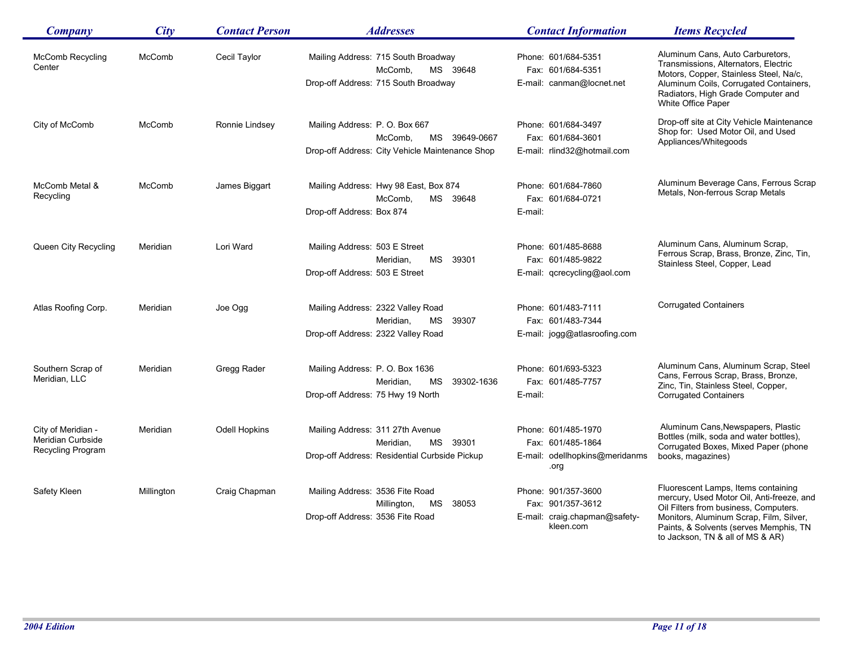| <b>Company</b>                                               | City       | <b>Contact Person</b> | <b>Addresses</b>                                                                                              | <b>Contact Information</b>                                                             | <b>Items Recycled</b>                                                                                                                                                                                                                              |
|--------------------------------------------------------------|------------|-----------------------|---------------------------------------------------------------------------------------------------------------|----------------------------------------------------------------------------------------|----------------------------------------------------------------------------------------------------------------------------------------------------------------------------------------------------------------------------------------------------|
| <b>McComb Recycling</b><br>Center                            | McComb     | Cecil Taylor          | Mailing Address: 715 South Broadway<br>McComb,<br>MS 39648<br>Drop-off Address: 715 South Broadway            | Phone: 601/684-5351<br>Fax: 601/684-5351<br>E-mail: canman@locnet.net                  | Aluminum Cans, Auto Carburetors,<br>Transmissions, Alternators, Electric<br>Motors, Copper, Stainless Steel, Na/c,<br>Aluminum Coils, Corrugated Containers,<br>Radiators, High Grade Computer and<br>White Office Paper                           |
| City of McComb                                               | McComb     | Ronnie Lindsey        | Mailing Address: P. O. Box 667<br>McComb.<br>MS 39649-0667<br>Drop-off Address: City Vehicle Maintenance Shop | Phone: 601/684-3497<br>Fax: 601/684-3601<br>E-mail: rlind32@hotmail.com                | Drop-off site at City Vehicle Maintenance<br>Shop for: Used Motor Oil, and Used<br>Appliances/Whitegoods                                                                                                                                           |
| McComb Metal &<br>Recycling                                  | McComb     | James Biggart         | Mailing Address: Hwy 98 East, Box 874<br>McComb.<br>MS 39648<br>Drop-off Address: Box 874                     | Phone: 601/684-7860<br>Fax: 601/684-0721<br>E-mail:                                    | Aluminum Beverage Cans, Ferrous Scrap<br>Metals, Non-ferrous Scrap Metals                                                                                                                                                                          |
| Queen City Recycling                                         | Meridian   | Lori Ward             | Mailing Address: 503 E Street<br>MS 39301<br>Meridian,<br>Drop-off Address: 503 E Street                      | Phone: 601/485-8688<br>Fax: 601/485-9822<br>E-mail: qcrecycling@aol.com                | Aluminum Cans, Aluminum Scrap,<br>Ferrous Scrap, Brass, Bronze, Zinc, Tin,<br>Stainless Steel, Copper, Lead                                                                                                                                        |
| Atlas Roofing Corp.                                          | Meridian   | Joe Ogg               | Mailing Address: 2322 Valley Road<br>Meridian,<br>MS 39307<br>Drop-off Address: 2322 Valley Road              | Phone: 601/483-7111<br>Fax: 601/483-7344<br>E-mail: jogg@atlasroofing.com              | <b>Corrugated Containers</b>                                                                                                                                                                                                                       |
| Southern Scrap of<br>Meridian, LLC                           | Meridian   | Gregg Rader           | Mailing Address: P.O. Box 1636<br>Meridian,<br>39302-1636<br>MS<br>Drop-off Address: 75 Hwy 19 North          | Phone: 601/693-5323<br>Fax: 601/485-7757<br>E-mail:                                    | Aluminum Cans, Aluminum Scrap, Steel<br>Cans, Ferrous Scrap, Brass, Bronze,<br>Zinc, Tin, Stainless Steel, Copper,<br><b>Corrugated Containers</b>                                                                                                 |
| City of Meridian -<br>Meridian Curbside<br>Recycling Program | Meridian   | Odell Hopkins         | Mailing Address: 311 27th Avenue<br>MS 39301<br>Meridian,<br>Drop-off Address: Residential Curbside Pickup    | Phone: 601/485-1970<br>Fax: 601/485-1864<br>E-mail: odellhopkins@meridanms<br>.org     | Aluminum Cans, Newspapers, Plastic<br>Bottles (milk, soda and water bottles),<br>Corrugated Boxes, Mixed Paper (phone<br>books, magazines)                                                                                                         |
| Safety Kleen                                                 | Millington | Craig Chapman         | Mailing Address: 3536 Fite Road<br>Millington,<br>38053<br>MS<br>Drop-off Address: 3536 Fite Road             | Phone: 901/357-3600<br>Fax: 901/357-3612<br>E-mail: craig.chapman@safety-<br>kleen.com | Fluorescent Lamps, Items containing<br>mercury, Used Motor Oil, Anti-freeze, and<br>Oil Filters from business, Computers.<br>Monitors, Aluminum Scrap, Film, Silver,<br>Paints, & Solvents (serves Memphis, TN<br>to Jackson, TN & all of MS & AR) |

 $\overline{\phantom{a}}$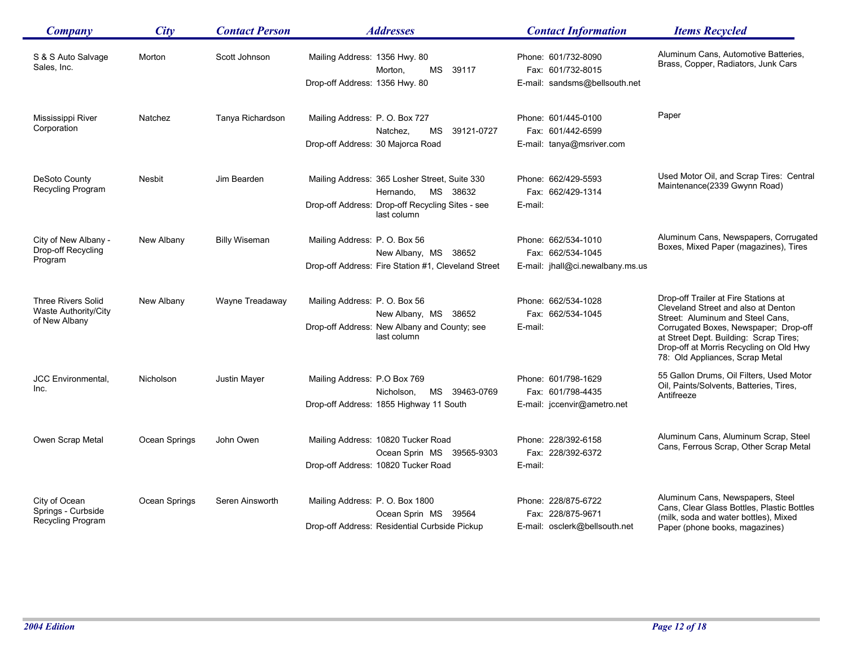| Company                                 | City          | <b>Contact Person</b> | <b>Addresses</b>                                                | <b>Contact Information</b>               | <b>Items Recycled</b>                                                                                                                                         |
|-----------------------------------------|---------------|-----------------------|-----------------------------------------------------------------|------------------------------------------|---------------------------------------------------------------------------------------------------------------------------------------------------------------|
| S & S Auto Salvage<br>Sales, Inc.       | Morton        | Scott Johnson         | Mailing Address: 1356 Hwy. 80<br>MS<br>39117<br>Morton,         | Phone: 601/732-8090<br>Fax: 601/732-8015 | Aluminum Cans, Automotive Batteries,<br>Brass, Copper, Radiators, Junk Cars                                                                                   |
|                                         |               |                       | Drop-off Address: 1356 Hwy. 80                                  | E-mail: sandsms@bellsouth.net            |                                                                                                                                                               |
| Mississippi River                       | Natchez       | Tanya Richardson      | Mailing Address: P. O. Box 727                                  | Phone: 601/445-0100                      | Paper                                                                                                                                                         |
| Corporation                             |               |                       | 39121-0727<br>Natchez.<br>MS                                    | Fax: 601/442-6599                        |                                                                                                                                                               |
|                                         |               |                       | Drop-off Address: 30 Majorca Road                               | E-mail: tanya@msriver.com                |                                                                                                                                                               |
| DeSoto County                           | <b>Nesbit</b> | Jim Bearden           | Mailing Address: 365 Losher Street, Suite 330                   | Phone: 662/429-5593                      | Used Motor Oil, and Scrap Tires: Central                                                                                                                      |
| Recycling Program                       |               |                       | MS 38632<br>Hernando,                                           | Fax: 662/429-1314                        | Maintenance(2339 Gwynn Road)                                                                                                                                  |
|                                         |               |                       | Drop-off Address: Drop-off Recycling Sites - see<br>last column | E-mail:                                  |                                                                                                                                                               |
| City of New Albany -                    | New Albany    | <b>Billy Wiseman</b>  | Mailing Address: P.O. Box 56                                    | Phone: 662/534-1010                      | Aluminum Cans, Newspapers, Corrugated                                                                                                                         |
| Drop-off Recycling<br>Program           |               |                       | New Albany, MS 38652                                            | Fax: 662/534-1045                        | Boxes, Mixed Paper (magazines), Tires                                                                                                                         |
|                                         |               |                       | Drop-off Address: Fire Station #1, Cleveland Street             | E-mail: jhall@ci.newalbany.ms.us         |                                                                                                                                                               |
| <b>Three Rivers Solid</b>               | New Albany    | Wayne Treadaway       | Mailing Address: P.O. Box 56                                    | Phone: 662/534-1028                      | Drop-off Trailer at Fire Stations at<br>Cleveland Street and also at Denton                                                                                   |
| Waste Authority/City<br>of New Albany   |               |                       | New Albany, MS 38652                                            | Fax: 662/534-1045                        | Street: Aluminum and Steel Cans,                                                                                                                              |
|                                         |               |                       | Drop-off Address: New Albany and County; see<br>last column     | E-mail:                                  | Corrugated Boxes, Newspaper; Drop-off<br>at Street Dept. Building: Scrap Tires;<br>Drop-off at Morris Recycling on Old Hwy<br>78: Old Appliances, Scrap Metal |
| <b>JCC Environmental,</b><br>Inc.       | Nicholson     | Justin Mayer          | Mailing Address: P.O Box 769<br>MS 39463-0769<br>Nicholson,     | Phone: 601/798-1629<br>Fax: 601/798-4435 | 55 Gallon Drums, Oil Filters, Used Motor<br>Oil, Paints/Solvents, Batteries, Tires,                                                                           |
|                                         |               |                       | Drop-off Address: 1855 Highway 11 South                         | E-mail: jccenvir@ametro.net              | Antifreeze                                                                                                                                                    |
| Owen Scrap Metal                        | Ocean Springs | John Owen             | Mailing Address: 10820 Tucker Road                              | Phone: 228/392-6158                      | Aluminum Cans, Aluminum Scrap, Steel                                                                                                                          |
|                                         |               |                       | Ocean Sprin MS 39565-9303                                       | Fax: 228/392-6372                        | Cans, Ferrous Scrap, Other Scrap Metal                                                                                                                        |
|                                         |               |                       | Drop-off Address: 10820 Tucker Road                             | E-mail:                                  |                                                                                                                                                               |
| City of Ocean                           | Ocean Springs | Seren Ainsworth       | Mailing Address: P.O. Box 1800                                  | Phone: 228/875-6722                      | Aluminum Cans, Newspapers, Steel<br>Cans, Clear Glass Bottles, Plastic Bottles                                                                                |
| Springs - Curbside<br>Recycling Program |               |                       | Ocean Sprin MS 39564                                            | Fax: 228/875-9671                        | (milk, soda and water bottles), Mixed                                                                                                                         |
|                                         |               |                       | Drop-off Address: Residential Curbside Pickup                   | E-mail: osclerk@bellsouth.net            | Paper (phone books, magazines)                                                                                                                                |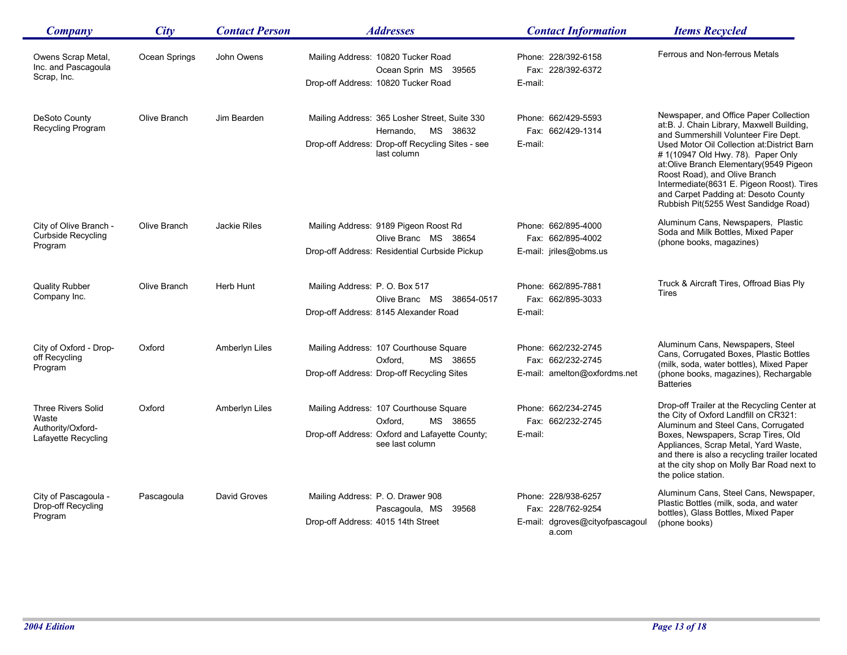| <b>Company</b>                                                                 | City          | <b>Contact Person</b> | <b>Addresses</b>                                                                                                                          | <b>Contact Information</b>                                                           | <b>Items Recycled</b>                                                                                                                                                                                                                                                                                                                                                                                                   |
|--------------------------------------------------------------------------------|---------------|-----------------------|-------------------------------------------------------------------------------------------------------------------------------------------|--------------------------------------------------------------------------------------|-------------------------------------------------------------------------------------------------------------------------------------------------------------------------------------------------------------------------------------------------------------------------------------------------------------------------------------------------------------------------------------------------------------------------|
| Owens Scrap Metal,<br>Inc. and Pascagoula<br>Scrap, Inc.                       | Ocean Springs | John Owens            | Mailing Address: 10820 Tucker Road<br>Ocean Sprin MS 39565<br>Drop-off Address: 10820 Tucker Road                                         | Phone: 228/392-6158<br>Fax: 228/392-6372<br>E-mail:                                  | Ferrous and Non-ferrous Metals                                                                                                                                                                                                                                                                                                                                                                                          |
| DeSoto County<br>Recycling Program                                             | Olive Branch  | Jim Bearden           | Mailing Address: 365 Losher Street, Suite 330<br>Hernando.<br>MS 38632<br>Drop-off Address: Drop-off Recycling Sites - see<br>last column | Phone: 662/429-5593<br>Fax: 662/429-1314<br>E-mail:                                  | Newspaper, and Office Paper Collection<br>at:B. J. Chain Library, Maxwell Building,<br>and Summershill Volunteer Fire Dept.<br>Used Motor Oil Collection at: District Barn<br>#1(10947 Old Hwy. 78). Paper Only<br>at:Olive Branch Elementary(9549 Pigeon<br>Roost Road), and Olive Branch<br>Intermediate(8631 E. Pigeon Roost). Tires<br>and Carpet Padding at: Desoto County<br>Rubbish Pit(5255 West Sandidge Road) |
| City of Olive Branch -<br><b>Curbside Recycling</b><br>Program                 | Olive Branch  | <b>Jackie Riles</b>   | Mailing Address: 9189 Pigeon Roost Rd<br>Olive Branc MS 38654<br>Drop-off Address: Residential Curbside Pickup                            | Phone: 662/895-4000<br>Fax: 662/895-4002<br>E-mail: jriles@obms.us                   | Aluminum Cans, Newspapers, Plastic<br>Soda and Milk Bottles, Mixed Paper<br>(phone books, magazines)                                                                                                                                                                                                                                                                                                                    |
| <b>Quality Rubber</b><br>Company Inc.                                          | Olive Branch  | Herb Hunt             | Mailing Address: P.O. Box 517<br>Olive Branc MS 38654-0517<br>Drop-off Address: 8145 Alexander Road                                       | Phone: 662/895-7881<br>Fax: 662/895-3033<br>E-mail:                                  | Truck & Aircraft Tires, Offroad Bias Ply<br><b>Tires</b>                                                                                                                                                                                                                                                                                                                                                                |
| City of Oxford - Drop-<br>off Recycling<br>Program                             | Oxford        | Amberlyn Liles        | Mailing Address: 107 Courthouse Square<br>Oxford.<br>MS 38655<br>Drop-off Address: Drop-off Recycling Sites                               | Phone: 662/232-2745<br>Fax: 662/232-2745<br>E-mail: amelton@oxfordms.net             | Aluminum Cans, Newspapers, Steel<br>Cans, Corrugated Boxes, Plastic Bottles<br>(milk, soda, water bottles), Mixed Paper<br>(phone books, magazines), Rechargable<br><b>Batteries</b>                                                                                                                                                                                                                                    |
| <b>Three Rivers Solid</b><br>Waste<br>Authority/Oxford-<br>Lafayette Recycling | Oxford        | Amberlyn Liles        | Mailing Address: 107 Courthouse Square<br>Oxford,<br>MS 38655<br>Drop-off Address: Oxford and Lafayette County;<br>see last column        | Phone: 662/234-2745<br>Fax: 662/232-2745<br>E-mail:                                  | Drop-off Trailer at the Recycling Center at<br>the City of Oxford Landfill on CR321:<br>Aluminum and Steel Cans, Corrugated<br>Boxes, Newspapers, Scrap Tires, Old<br>Appliances, Scrap Metal, Yard Waste,<br>and there is also a recycling trailer located<br>at the city shop on Molly Bar Road next to<br>the police station.                                                                                        |
| City of Pascagoula -<br>Drop-off Recycling<br>Program                          | Pascagoula    | David Groves          | Mailing Address: P. O. Drawer 908<br>Pascagoula, MS<br>39568<br>Drop-off Address: 4015 14th Street                                        | Phone: 228/938-6257<br>Fax: 228/762-9254<br>E-mail: dgroves@cityofpascagoul<br>a.com | Aluminum Cans, Steel Cans, Newspaper,<br>Plastic Bottles (milk, soda, and water<br>bottles), Glass Bottles, Mixed Paper<br>(phone books)                                                                                                                                                                                                                                                                                |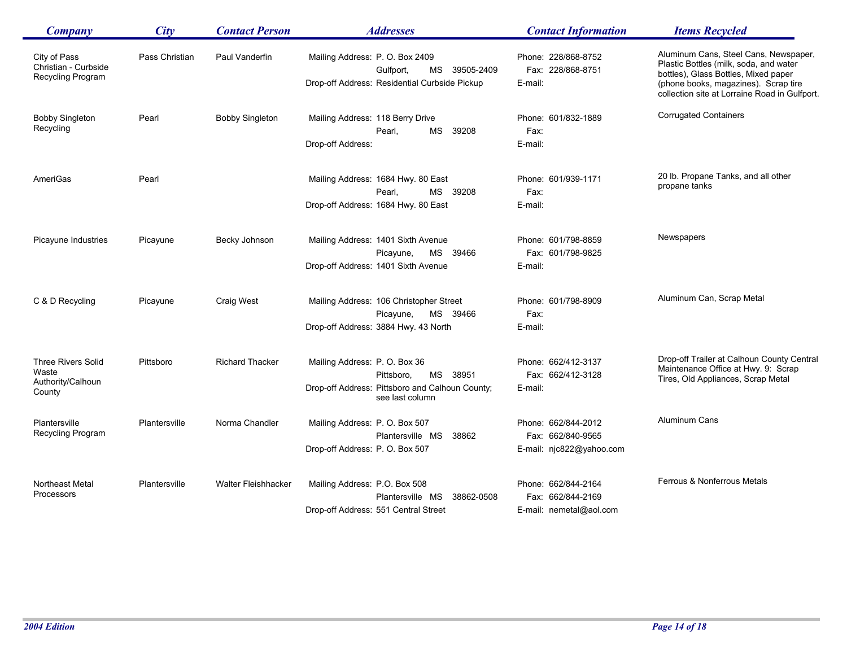| <b>Company</b>                                                    | City           | <b>Contact Person</b>      | <b>Addresses</b>                                                                                                             | <b>Contact Information</b>                                           | <b>Items Recycled</b>                                                                                                                                                                                            |
|-------------------------------------------------------------------|----------------|----------------------------|------------------------------------------------------------------------------------------------------------------------------|----------------------------------------------------------------------|------------------------------------------------------------------------------------------------------------------------------------------------------------------------------------------------------------------|
| City of Pass<br>Christian - Curbside<br>Recycling Program         | Pass Christian | Paul Vanderfin             | Mailing Address: P.O. Box 2409<br>Gulfport,<br>MS 39505-2409<br>Drop-off Address: Residential Curbside Pickup                | Phone: 228/868-8752<br>Fax: 228/868-8751<br>E-mail:                  | Aluminum Cans, Steel Cans, Newspaper,<br>Plastic Bottles (milk, soda, and water<br>bottles), Glass Bottles, Mixed paper<br>(phone books, magazines). Scrap tire<br>collection site at Lorraine Road in Gulfport. |
| <b>Bobby Singleton</b><br>Recycling                               | Pearl          | <b>Bobby Singleton</b>     | Mailing Address: 118 Berry Drive<br>Pearl.<br>MS<br>39208<br>Drop-off Address:                                               | Phone: 601/832-1889<br>Fax:<br>E-mail:                               | <b>Corrugated Containers</b>                                                                                                                                                                                     |
| AmeriGas                                                          | Pearl          |                            | Mailing Address: 1684 Hwy. 80 East<br>Pearl,<br>MS 39208<br>Drop-off Address: 1684 Hwy. 80 East                              | Phone: 601/939-1171<br>Fax:<br>E-mail:                               | 20 lb. Propane Tanks, and all other<br>propane tanks                                                                                                                                                             |
| Picayune Industries                                               | Picayune       | Becky Johnson              | Mailing Address: 1401 Sixth Avenue<br>MS 39466<br>Picayune,<br>Drop-off Address: 1401 Sixth Avenue                           | Phone: 601/798-8859<br>Fax: 601/798-9825<br>E-mail:                  | Newspapers                                                                                                                                                                                                       |
| C & D Recycling                                                   | Picayune       | Craig West                 | Mailing Address: 106 Christopher Street<br>Picayune,<br>MS 39466<br>Drop-off Address: 3884 Hwy. 43 North                     | Phone: 601/798-8909<br>Fax:<br>E-mail:                               | Aluminum Can, Scrap Metal                                                                                                                                                                                        |
| <b>Three Rivers Solid</b><br>Waste<br>Authority/Calhoun<br>County | Pittsboro      | <b>Richard Thacker</b>     | Mailing Address: P.O. Box 36<br>MS 38951<br>Pittsboro,<br>Drop-off Address: Pittsboro and Calhoun County;<br>see last column | Phone: 662/412-3137<br>Fax: 662/412-3128<br>E-mail:                  | Drop-off Trailer at Calhoun County Central<br>Maintenance Office at Hwy. 9: Scrap<br>Tires, Old Appliances, Scrap Metal                                                                                          |
| Plantersville<br>Recycling Program                                | Plantersville  | Norma Chandler             | Mailing Address: P. O. Box 507<br>Plantersville MS<br>38862<br>Drop-off Address: P.O. Box 507                                | Phone: 662/844-2012<br>Fax: 662/840-9565<br>E-mail: njc822@yahoo.com | Aluminum Cans                                                                                                                                                                                                    |
| <b>Northeast Metal</b><br>Processors                              | Plantersville  | <b>Walter Fleishhacker</b> | Mailing Address: P.O. Box 508<br>Plantersville MS 38862-0508<br>Drop-off Address: 551 Central Street                         | Phone: 662/844-2164<br>Fax: 662/844-2169<br>E-mail: nemetal@aol.com  | Ferrous & Nonferrous Metals                                                                                                                                                                                      |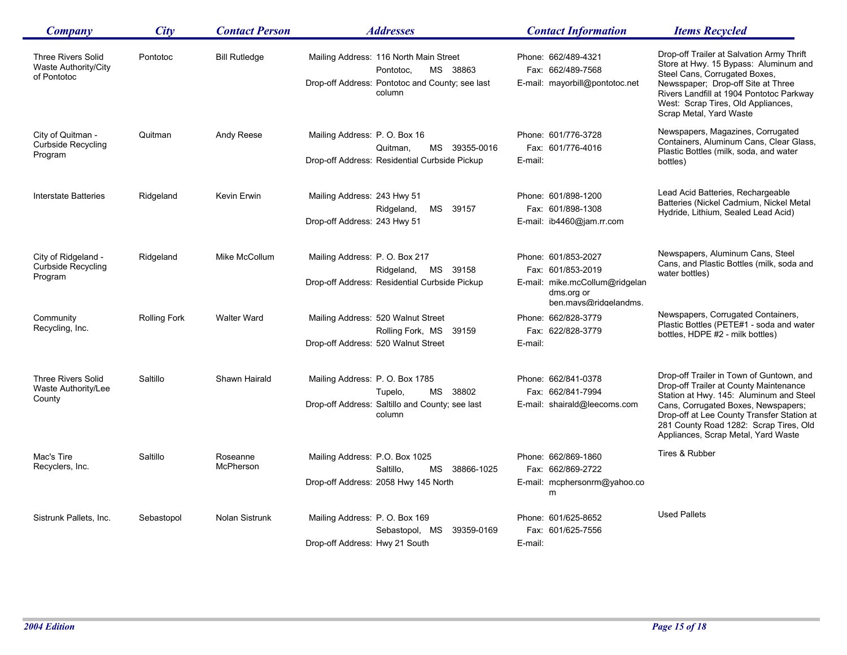| Company                                                          | City                | <b>Contact Person</b> | <b>Addresses</b>                                                                                                             | <b>Contact Information</b>                                                                                        | <b>Items Recycled</b>                                                                                                                                                                                                                                                                               |
|------------------------------------------------------------------|---------------------|-----------------------|------------------------------------------------------------------------------------------------------------------------------|-------------------------------------------------------------------------------------------------------------------|-----------------------------------------------------------------------------------------------------------------------------------------------------------------------------------------------------------------------------------------------------------------------------------------------------|
| <b>Three Rivers Solid</b><br>Waste Authority/City<br>of Pontotoc | Pontotoc            | <b>Bill Rutledge</b>  | Mailing Address: 116 North Main Street<br>MS 38863<br>Pontotoc,<br>Drop-off Address: Pontotoc and County; see last<br>column | Phone: 662/489-4321<br>Fax: 662/489-7568<br>E-mail: mayorbill@pontotoc.net                                        | Drop-off Trailer at Salvation Army Thrift<br>Store at Hwy. 15 Bypass: Aluminum and<br>Steel Cans, Corrugated Boxes,<br>Newsspaper: Drop-off Site at Three<br>Rivers Landfill at 1904 Pontotoc Parkway<br>West: Scrap Tires, Old Appliances,<br>Scrap Metal, Yard Waste                              |
| City of Quitman -<br><b>Curbside Recycling</b><br>Program        | Quitman             | Andy Reese            | Mailing Address: P. O. Box 16<br>MS 39355-0016<br>Quitman,<br>Drop-off Address: Residential Curbside Pickup                  | Phone: 601/776-3728<br>Fax: 601/776-4016<br>E-mail:                                                               | Newspapers, Magazines, Corrugated<br>Containers, Aluminum Cans, Clear Glass,<br>Plastic Bottles (milk, soda, and water<br>bottles)                                                                                                                                                                  |
| <b>Interstate Batteries</b>                                      | Ridgeland           | Kevin Erwin           | Mailing Address: 243 Hwy 51<br>Ridgeland,<br>MS<br>39157<br>Drop-off Address: 243 Hwy 51                                     | Phone: 601/898-1200<br>Fax: 601/898-1308<br>E-mail: ib4460@jam.rr.com                                             | Lead Acid Batteries, Rechargeable<br>Batteries (Nickel Cadmium, Nickel Metal<br>Hydride, Lithium, Sealed Lead Acid)                                                                                                                                                                                 |
| City of Ridgeland -<br>Curbside Recycling<br>Program             | Ridgeland           | Mike McCollum         | Mailing Address: P.O. Box 217<br>MS 39158<br>Ridgeland,<br>Drop-off Address: Residential Curbside Pickup                     | Phone: 601/853-2027<br>Fax: 601/853-2019<br>E-mail: mike.mcCollum@ridgelan<br>dms.org or<br>ben.mays@ridgelandms. | Newspapers, Aluminum Cans, Steel<br>Cans, and Plastic Bottles (milk, soda and<br>water bottles)                                                                                                                                                                                                     |
| Community<br>Recycling, Inc.                                     | <b>Rolling Fork</b> | <b>Walter Ward</b>    | Mailing Address: 520 Walnut Street<br>Rolling Fork, MS 39159<br>Drop-off Address: 520 Walnut Street                          | Phone: 662/828-3779<br>Fax: 622/828-3779<br>E-mail:                                                               | Newspapers, Corrugated Containers,<br>Plastic Bottles (PETE#1 - soda and water<br>bottles, HDPE #2 - milk bottles)                                                                                                                                                                                  |
| <b>Three Rivers Solid</b><br>Waste Authority/Lee<br>County       | Saltillo            | Shawn Hairald         | Mailing Address: P.O. Box 1785<br>38802<br>MS<br>Tupelo,<br>Drop-off Address: Saltillo and County; see last<br>column        | Phone: 662/841-0378<br>Fax: 662/841-7994<br>E-mail: shairald@leecoms.com                                          | Drop-off Trailer in Town of Guntown, and<br>Drop-off Trailer at County Maintenance<br>Station at Hwy. 145: Aluminum and Steel<br>Cans, Corrugated Boxes, Newspapers;<br>Drop-off at Lee County Transfer Station at<br>281 County Road 1282: Scrap Tires, Old<br>Appliances, Scrap Metal, Yard Waste |
| Mac's Tire<br>Recyclers, Inc.                                    | Saltillo            | Roseanne<br>McPherson | Mailing Address: P.O. Box 1025<br>Saltillo,<br>MS 38866-1025<br>Drop-off Address: 2058 Hwy 145 North                         | Phone: 662/869-1860<br>Fax: 662/869-2722<br>E-mail: mcphersonrm@yahoo.co<br>m                                     | Tires & Rubber                                                                                                                                                                                                                                                                                      |
| Sistrunk Pallets, Inc.                                           | Sebastopol          | Nolan Sistrunk        | Mailing Address: P. O. Box 169<br>Sebastopol, MS<br>39359-0169<br>Drop-off Address: Hwy 21 South                             | Phone: 601/625-8652<br>Fax: 601/625-7556<br>E-mail:                                                               | <b>Used Pallets</b>                                                                                                                                                                                                                                                                                 |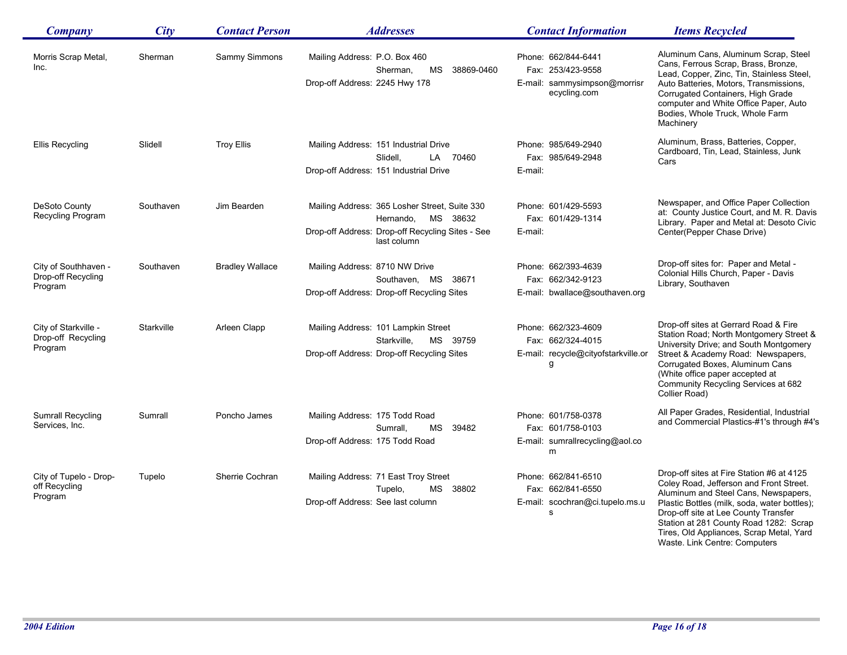| <b>Company</b>                                        | City       | <b>Contact Person</b>  | <b>Addresses</b>                                                                                                                          | <b>Contact Information</b>                                                               | <b>Items Recycled</b>                                                                                                                                                                                                                                                                                      |
|-------------------------------------------------------|------------|------------------------|-------------------------------------------------------------------------------------------------------------------------------------------|------------------------------------------------------------------------------------------|------------------------------------------------------------------------------------------------------------------------------------------------------------------------------------------------------------------------------------------------------------------------------------------------------------|
| Morris Scrap Metal,<br>Inc.                           | Sherman    | Sammy Simmons          | Mailing Address: P.O. Box 460<br>Sherman,<br>MS 38869-0460<br>Drop-off Address: 2245 Hwy 178                                              | Phone: 662/844-6441<br>Fax: 253/423-9558<br>E-mail: sammysimpson@morrisr<br>ecycling.com | Aluminum Cans, Aluminum Scrap, Steel<br>Cans, Ferrous Scrap, Brass, Bronze,<br>Lead, Copper, Zinc, Tin, Stainless Steel,<br>Auto Batteries, Motors, Transmissions,<br>Corrugated Containers, High Grade<br>computer and White Office Paper, Auto<br>Bodies, Whole Truck, Whole Farm<br>Machinery           |
| Ellis Recycling                                       | Slidell    | <b>Troy Ellis</b>      | Mailing Address: 151 Industrial Drive<br>Slidell,<br>LA 70460<br>Drop-off Address: 151 Industrial Drive                                   | Phone: 985/649-2940<br>Fax: 985/649-2948<br>E-mail:                                      | Aluminum, Brass, Batteries, Copper,<br>Cardboard, Tin, Lead, Stainless, Junk<br>Cars                                                                                                                                                                                                                       |
| DeSoto County<br>Recycling Program                    | Southaven  | Jim Bearden            | Mailing Address: 365 Losher Street, Suite 330<br>MS 38632<br>Hernando,<br>Drop-off Address: Drop-off Recycling Sites - See<br>last column | Phone: 601/429-5593<br>Fax: 601/429-1314<br>E-mail:                                      | Newspaper, and Office Paper Collection<br>at: County Justice Court, and M. R. Davis<br>Library. Paper and Metal at: Desoto Civic<br>Center(Pepper Chase Drive)                                                                                                                                             |
| City of Southhaven -<br>Drop-off Recycling<br>Program | Southaven  | <b>Bradley Wallace</b> | Mailing Address: 8710 NW Drive<br>Southaven, MS 38671<br>Drop-off Address: Drop-off Recycling Sites                                       | Phone: 662/393-4639<br>Fax: 662/342-9123<br>E-mail: bwallace@southaven.org               | Drop-off sites for: Paper and Metal -<br>Colonial Hills Church, Paper - Davis<br>Library, Southaven                                                                                                                                                                                                        |
| City of Starkville -<br>Drop-off Recycling<br>Program | Starkville | Arleen Clapp           | Mailing Address: 101 Lampkin Street<br>Starkville.<br>MS 39759<br>Drop-off Address: Drop-off Recycling Sites                              | Phone: 662/323-4609<br>Fax: 662/324-4015<br>E-mail: recycle@cityofstarkville.or<br>g     | Drop-off sites at Gerrard Road & Fire<br>Station Road; North Montgomery Street &<br>University Drive; and South Montgomery<br>Street & Academy Road: Newspapers,<br>Corrugated Boxes, Aluminum Cans<br>(White office paper accepted at<br>Community Recycling Services at 682<br>Collier Road)             |
| <b>Sumrall Recycling</b><br>Services, Inc.            | Sumrall    | Poncho James           | Mailing Address: 175 Todd Road<br>39482<br>Sumrall.<br>MS<br>Drop-off Address: 175 Todd Road                                              | Phone: 601/758-0378<br>Fax: 601/758-0103<br>E-mail: sumrallrecycling@aol.co<br>m         | All Paper Grades, Residential, Industrial<br>and Commercial Plastics-#1's through #4's                                                                                                                                                                                                                     |
| City of Tupelo - Drop-<br>off Recycling<br>Program    | Tupelo     | Sherrie Cochran        | Mailing Address: 71 East Troy Street<br>MS 38802<br>Tupelo,<br>Drop-off Address: See last column                                          | Phone: 662/841-6510<br>Fax: 662/841-6550<br>E-mail: scochran@ci.tupelo.ms.u<br>s         | Drop-off sites at Fire Station #6 at 4125<br>Coley Road, Jefferson and Front Street.<br>Aluminum and Steel Cans, Newspapers,<br>Plastic Bottles (milk, soda, water bottles);<br>Drop-off site at Lee County Transfer<br>Station at 281 County Road 1282: Scrap<br>Tires, Old Appliances, Scrap Metal, Yard |

Waste. Link Centre: Computers

Ē,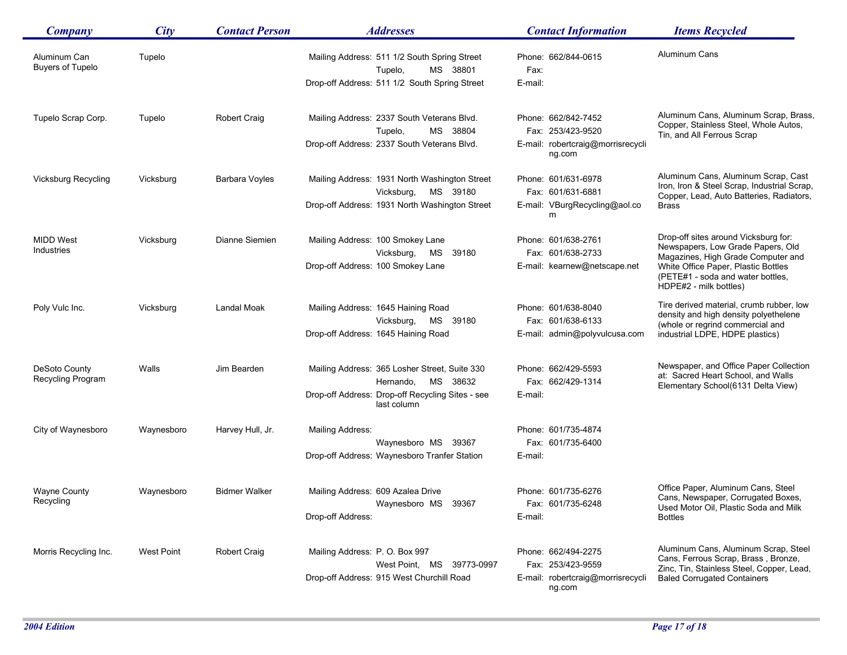| <b>Company</b>                          | City       | <b>Contact Person</b> | <b>Addresses</b>                                                                                                                          | <b>Contact Information</b>                                                              | <b>Items Recycled</b>                                                                                                                                                                                                 |
|-----------------------------------------|------------|-----------------------|-------------------------------------------------------------------------------------------------------------------------------------------|-----------------------------------------------------------------------------------------|-----------------------------------------------------------------------------------------------------------------------------------------------------------------------------------------------------------------------|
| Aluminum Can<br><b>Buyers of Tupelo</b> | Tupelo     |                       | Mailing Address: 511 1/2 South Spring Street<br>MS 38801<br>Tupelo,<br>Drop-off Address: 511 1/2 South Spring Street                      | Phone: 662/844-0615<br>Fax:<br>E-mail:                                                  | Aluminum Cans                                                                                                                                                                                                         |
| Tupelo Scrap Corp.                      | Tupelo     | <b>Robert Craig</b>   | Mailing Address: 2337 South Veterans Blvd.<br>MS 38804<br>Tupelo,<br>Drop-off Address: 2337 South Veterans Blvd.                          | Phone: 662/842-7452<br>Fax: 253/423-9520<br>E-mail: robertcraig@morrisrecycli<br>ng.com | Aluminum Cans, Aluminum Scrap, Brass,<br>Copper, Stainless Steel, Whole Autos,<br>Tin, and All Ferrous Scrap                                                                                                          |
| <b>Vicksburg Recycling</b>              | Vicksburg  | Barbara Voyles        | Mailing Address: 1931 North Washington Street<br>MS 39180<br>Vicksburg,<br>Drop-off Address: 1931 North Washington Street                 | Phone: 601/631-6978<br>Fax: 601/631-6881<br>E-mail: VBurgRecycling@aol.co<br>m          | Aluminum Cans, Aluminum Scrap, Cast<br>Iron, Iron & Steel Scrap, Industrial Scrap,<br>Copper, Lead, Auto Batteries, Radiators,<br>Brass                                                                               |
| <b>MIDD West</b><br>Industries          | Vicksburg  | Dianne Siemien        | Mailing Address: 100 Smokey Lane<br>Vicksburg,<br>MS<br>39180<br>Drop-off Address: 100 Smokey Lane                                        | Phone: 601/638-2761<br>Fax: 601/638-2733<br>E-mail: kearnew@netscape.net                | Drop-off sites around Vicksburg for:<br>Newspapers, Low Grade Papers, Old<br>Magazines, High Grade Computer and<br>White Office Paper, Plastic Bottles<br>(PETE#1 - soda and water bottles,<br>HDPE#2 - milk bottles) |
| Poly Vulc Inc.                          | Vicksburg  | Landal Moak           | Mailing Address: 1645 Haining Road<br>Vicksburg,<br>MS 39180<br>Drop-off Address: 1645 Haining Road                                       | Phone: 601/638-8040<br>Fax: 601/638-6133<br>E-mail: admin@polyvulcusa.com               | Tire derived material, crumb rubber, low<br>density and high density polyethelene<br>(whole or regrind commercial and<br>industrial LDPE, HDPE plastics)                                                              |
| DeSoto County<br>Recycling Program      | Walls      | Jim Bearden           | Mailing Address: 365 Losher Street, Suite 330<br>MS 38632<br>Hernando,<br>Drop-off Address: Drop-off Recycling Sites - see<br>last column | Phone: 662/429-5593<br>Fax: 662/429-1314<br>E-mail:                                     | Newspaper, and Office Paper Collection<br>at: Sacred Heart School, and Walls<br>Elementary School(6131 Delta View)                                                                                                    |
| City of Waynesboro                      | Waynesboro | Harvey Hull, Jr.      | Mailing Address:<br>Waynesboro MS 39367<br>Drop-off Address: Waynesboro Tranfer Station                                                   | Phone: 601/735-4874<br>Fax: 601/735-6400<br>E-mail:                                     |                                                                                                                                                                                                                       |
| <b>Wayne County</b><br>Recycling        | Waynesboro | <b>Bidmer Walker</b>  | Mailing Address: 609 Azalea Drive<br>Waynesboro MS 39367<br>Drop-off Address:                                                             | Phone: 601/735-6276<br>Fax: 601/735-6248<br>E-mail:                                     | Office Paper, Aluminum Cans, Steel<br>Cans, Newspaper, Corrugated Boxes,<br>Used Motor Oil, Plastic Soda and Milk<br><b>Bottles</b>                                                                                   |
| Morris Recycling Inc.                   | West Point | <b>Robert Craig</b>   | Mailing Address: P.O. Box 997<br>West Point, MS 39773-0997<br>Drop-off Address: 915 West Churchill Road                                   | Phone: 662/494-2275<br>Fax: 253/423-9559<br>E-mail: robertcraig@morrisrecycli<br>ng.com | Aluminum Cans, Aluminum Scrap, Steel<br>Cans, Ferrous Scrap, Brass, Bronze,<br>Zinc, Tin, Stainless Steel, Copper, Lead,<br><b>Baled Corrugated Containers</b>                                                        |